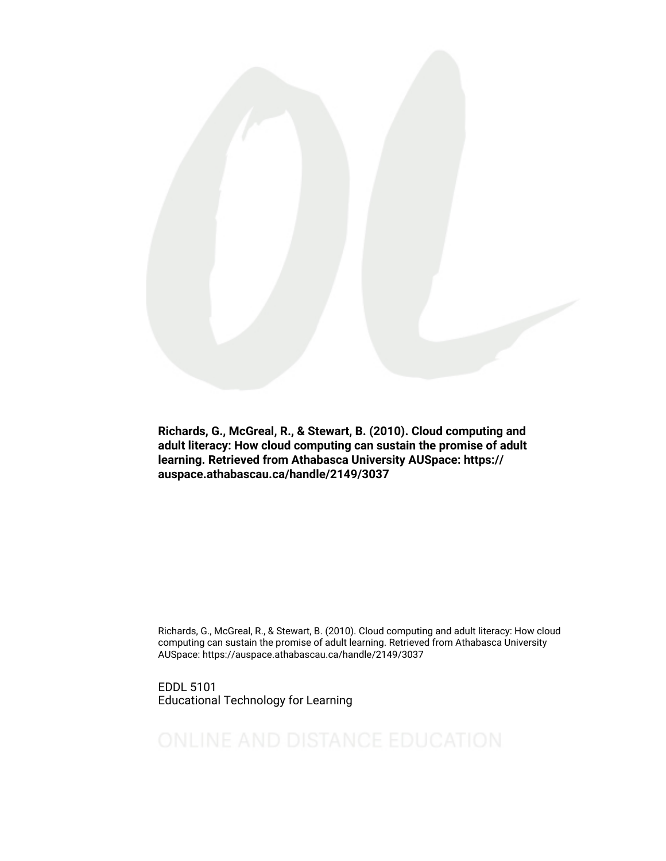

Richards, G., McGreal, R., & Stewart, B. (2010). Cloud computing and adult literacy: How cloud computing can sustain the promise of adult learning. Retrieved from Athabasca University AUSpace: https:// auspace.athabascau.ca/handle/2149/3037

Richards, G., McGreal, R., & Stewart, B. (2010). Cloud computing and adult literacy: How cloud computing can sustain the promise of adult learning. Retrieved from Athabasca University AUSpace: https://auspace.athabascau.ca/handle/2149/3037

EDDL 5101 Educational Technology for Learning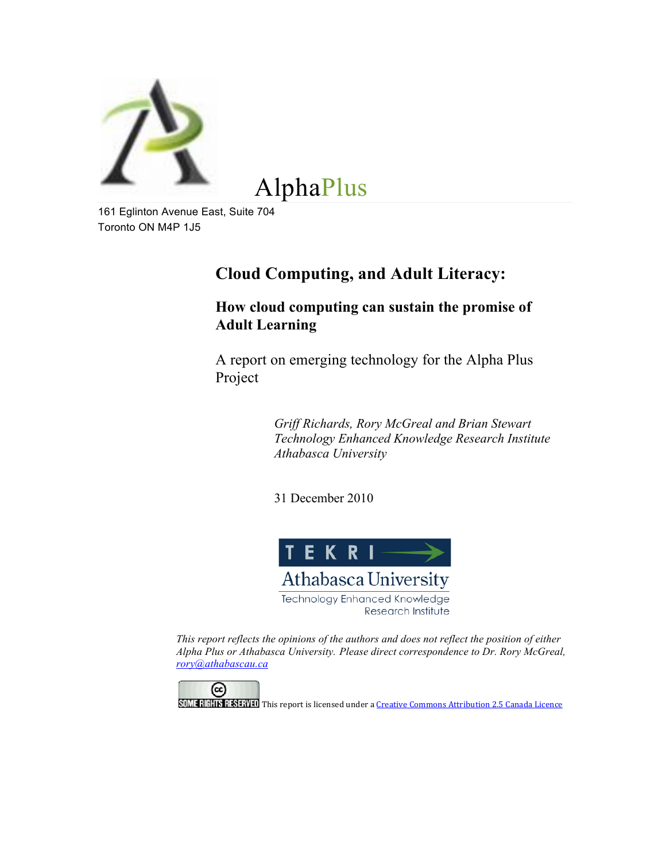

AlphaPlus

161 Eglinton Avenue East, Suite 704 Toronto ON M4P 1J5

# **Cloud Computing, and Adult Literacy:**

**How cloud computing can sustain the promise of Adult Learning**

A report on emerging technology for the Alpha Plus Project

> *Griff Richards, Rory McGreal and Brian Stewart Technology Enhanced Knowledge Research Institute Athabasca University*

31 December 2010



*This report reflects the opinions of the authors and does not reflect the position of either Alpha Plus or Athabasca University. Please direct correspondence to Dr. Rory McGreal, rory@athabascau.ca*



SOME RIGHTS RESERVED This report is licensed under a Creative Commons Attribution 2.5 Canada Licence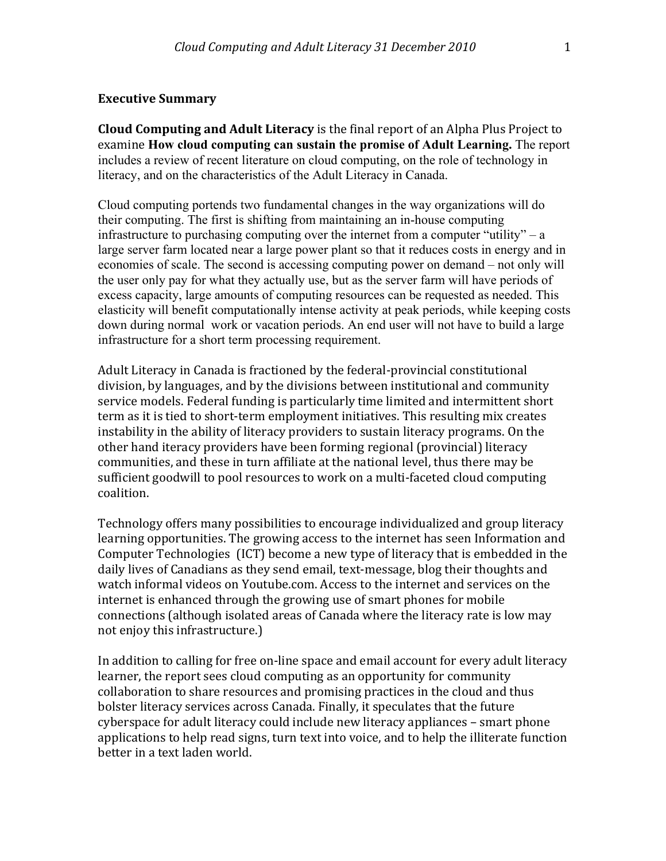#### **Executive Summary**

**Cloud Computing and Adult Literacy** is the final report of an Alpha Plus Project to examine **How cloud computing can sustain the promise of Adult Learning.** The report includes a review of recent literature on cloud computing, on the role of technology in literacy, and on the characteristics of the Adult Literacy in Canada.

Cloud computing portends two fundamental changes in the way organizations will do their computing. The first is shifting from maintaining an in-house computing infrastructure to purchasing computing over the internet from a computer "utility" – a large server farm located near a large power plant so that it reduces costs in energy and in economies of scale. The second is accessing computing power on demand – not only will the user only pay for what they actually use, but as the server farm will have periods of excess capacity, large amounts of computing resources can be requested as needed. This elasticity will benefit computationally intense activity at peak periods, while keeping costs down during normal work or vacation periods. An end user will not have to build a large infrastructure for a short term processing requirement.

Adult Literacy in Canada is fractioned by the federal-provincial constitutional division, by languages, and by the divisions between institutional and community service models. Federal funding is particularly time limited and intermittent short term as it is tied to short-term employment initiatives. This resulting mix creates instability in the ability of literacy providers to sustain literacy programs. On the other hand iteracy providers have been forming regional (provincial) literacy communities, and these in turn affiliate at the national level, thus there may be sufficient goodwill to pool resources to work on a multi-faceted cloud computing coalition.

Technology offers many possibilities to encourage individualized and group literacy learning opportunities. The growing access to the internet has seen Information and Computer Technologies (ICT) become a new type of literacy that is embedded in the daily lives of Canadians as they send email, text-message, blog their thoughts and watch informal videos on Youtube.com. Access to the internet and services on the internet is enhanced through the growing use of smart phones for mobile connections (although isolated areas of Canada where the literacy rate is low may not enjoy this infrastructure.)

In addition to calling for free on-line space and email account for every adult literacy learner, the report sees cloud computing as an opportunity for community collaboration to share resources and promising practices in the cloud and thus bolster literacy services across Canada. Finally, it speculates that the future cyberspace for adult literacy could include new literacy appliances – smart phone applications to help read signs, turn text into voice, and to help the illiterate function better in a text laden world.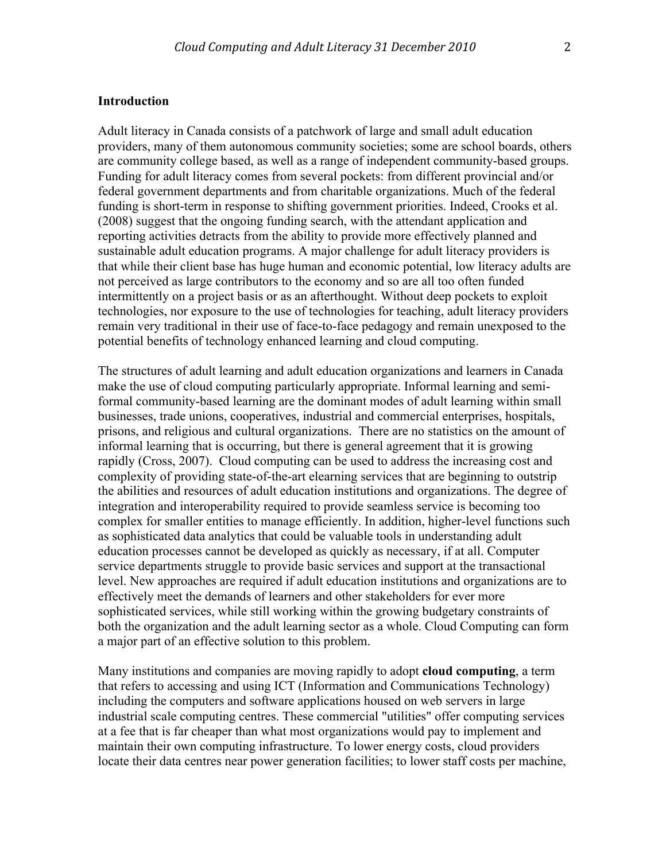## **Introduction**

Adult literacy in Canada consists of a patchwork of large and small adult education providers, many of them autonomous community societies; some are school boards, others are community college based, as well as a range of independent community-based groups. Funding for adult literacy comes from several pockets: from different provincial and/or federal government departments and from charitable organizations. Much of the federal funding is short-term in response to shifting government priorities. Indeed, Crooks et al. (2008) suggest that the ongoing funding search, with the attendant application and reporting activities detracts from the ability to provide more effectively planned and sustainable adult education programs. A major challenge for adult literacy providers is that while their client base has huge human and economic potential, low literacy adults are not perceived as large contributors to the economy and so are all too often funded intermittently on a project basis or as an afterthought. Without deep pockets to exploit technologies, nor exposure to the use of technologies for teaching, adult literacy providers remain very traditional in their use of face-to-face pedagogy and remain unexposed to the potential benefits of technology enhanced learning and cloud computing.

The structures of adult learning and adult education organizations and learners in Canada make the use of cloud computing particularly appropriate. Informal learning and semiformal community-based learning are the dominant modes of adult learning within small businesses, trade unions, cooperatives, industrial and commercial enterprises, hospitals, prisons, and religious and cultural organizations. There are no statistics on the amount of informal learning that is occurring, but there is general agreement that it is growing rapidly (Cross, 2007). Cloud computing can be used to address the increasing cost and complexity of providing state-of-the-art elearning services that are beginning to outstrip the abilities and resources of adult education institutions and organizations. The degree of integration and interoperability required to provide seamless service is becoming too complex for smaller entities to manage efficiently. In addition, higher-level functions such as sophisticated data analytics that could be valuable tools in understanding adult education processes cannot be developed as quickly as necessary, if at all. Computer service departments struggle to provide basic services and support at the transactional level. New approaches are required if adult education institutions and organizations are to effectively meet the demands of learners and other stakeholders for ever more sophisticated services, while still working within the growing budgetary constraints of both the organization and the adult learning sector as a whole. Cloud Computing can form a major part of an effective solution to this problem.

Many institutions and companies are moving rapidly to adopt **cloud computing**, a term that refers to accessing and using ICT (Information and Communications Technology) including the computers and software applications housed on web servers in large industrial scale computing centres. These commercial "utilities" offer computing services at a fee that is far cheaper than what most organizations would pay to implement and maintain their own computing infrastructure. To lower energy costs, cloud providers locate their data centres near power generation facilities; to lower staff costs per machine,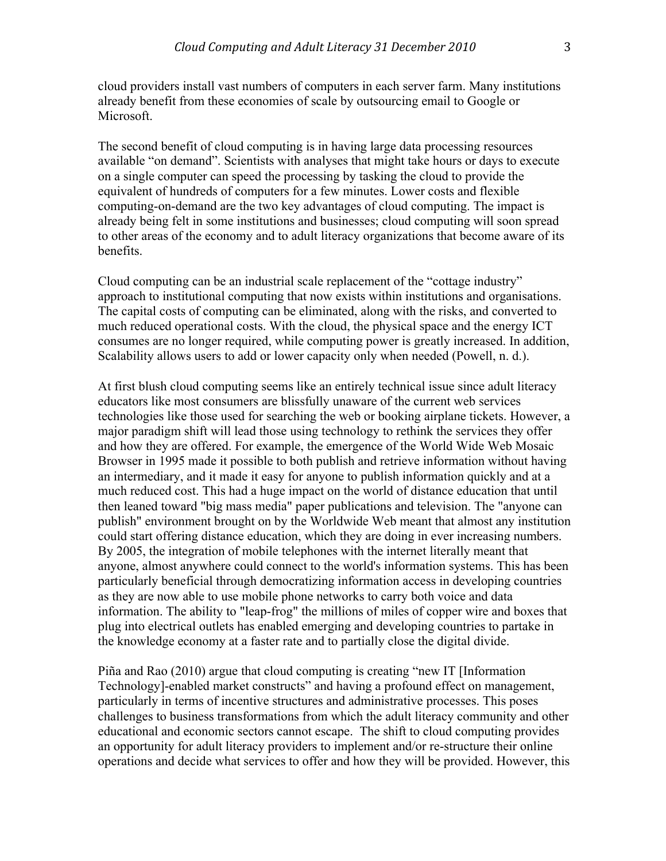cloud providers install vast numbers of computers in each server farm. Many institutions already benefit from these economies of scale by outsourcing email to Google or Microsoft.

The second benefit of cloud computing is in having large data processing resources available "on demand". Scientists with analyses that might take hours or days to execute on a single computer can speed the processing by tasking the cloud to provide the equivalent of hundreds of computers for a few minutes. Lower costs and flexible computing-on-demand are the two key advantages of cloud computing. The impact is already being felt in some institutions and businesses; cloud computing will soon spread to other areas of the economy and to adult literacy organizations that become aware of its benefits.

Cloud computing can be an industrial scale replacement of the "cottage industry" approach to institutional computing that now exists within institutions and organisations. The capital costs of computing can be eliminated, along with the risks, and converted to much reduced operational costs. With the cloud, the physical space and the energy ICT consumes are no longer required, while computing power is greatly increased. In addition, Scalability allows users to add or lower capacity only when needed (Powell, n. d.).

At first blush cloud computing seems like an entirely technical issue since adult literacy educators like most consumers are blissfully unaware of the current web services technologies like those used for searching the web or booking airplane tickets. However, a major paradigm shift will lead those using technology to rethink the services they offer and how they are offered. For example, the emergence of the World Wide Web Mosaic Browser in 1995 made it possible to both publish and retrieve information without having an intermediary, and it made it easy for anyone to publish information quickly and at a much reduced cost. This had a huge impact on the world of distance education that until then leaned toward "big mass media" paper publications and television. The "anyone can publish" environment brought on by the Worldwide Web meant that almost any institution could start offering distance education, which they are doing in ever increasing numbers. By 2005, the integration of mobile telephones with the internet literally meant that anyone, almost anywhere could connect to the world's information systems. This has been particularly beneficial through democratizing information access in developing countries as they are now able to use mobile phone networks to carry both voice and data information. The ability to "leap-frog" the millions of miles of copper wire and boxes that plug into electrical outlets has enabled emerging and developing countries to partake in the knowledge economy at a faster rate and to partially close the digital divide.

Piña and Rao (2010) argue that cloud computing is creating "new IT [Information Technology]-enabled market constructs" and having a profound effect on management, particularly in terms of incentive structures and administrative processes. This poses challenges to business transformations from which the adult literacy community and other educational and economic sectors cannot escape. The shift to cloud computing provides an opportunity for adult literacy providers to implement and/or re-structure their online operations and decide what services to offer and how they will be provided. However, this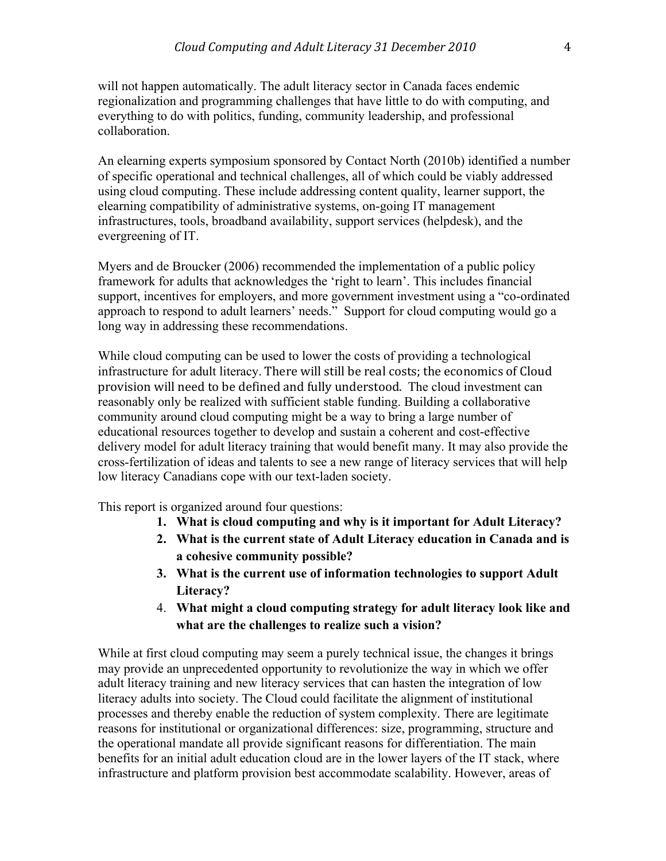will not happen automatically. The adult literacy sector in Canada faces endemic regionalization and programming challenges that have little to do with computing, and everything to do with politics, funding, community leadership, and professional collaboration.

An elearning experts symposium sponsored by Contact North (2010b) identified a number of specific operational and technical challenges, all of which could be viably addressed using cloud computing. These include addressing content quality, learner support, the elearning compatibility of administrative systems, on-going IT management infrastructures, tools, broadband availability, support services (helpdesk), and the evergreening of IT.

Myers and de Broucker (2006) recommended the implementation of a public policy framework for adults that acknowledges the 'right to learn'. This includes financial support, incentives for employers, and more government investment using a "co-ordinated approach to respond to adult learners' needs." Support for cloud computing would go a long way in addressing these recommendations.

While cloud computing can be used to lower the costs of providing a technological infrastructure for adult literacy. There will still be real costs; the economics of Cloud provision will need to be defined and fully understood. The cloud investment can reasonably only be realized with sufficient stable funding. Building a collaborative community around cloud computing might be a way to bring a large number of educational resources together to develop and sustain a coherent and cost-effective delivery model for adult literacy training that would benefit many. It may also provide the cross-fertilization of ideas and talents to see a new range of literacy services that will help low literacy Canadians cope with our text-laden society.

This report is organized around four questions:

- **1. What is cloud computing and why is it important for Adult Literacy?**
- **2. What is the current state of Adult Literacy education in Canada and is a cohesive community possible?**
- **3. What is the current use of information technologies to support Adult Literacy?**
- 4. **What might a cloud computing strategy for adult literacy look like and what are the challenges to realize such a vision?**

While at first cloud computing may seem a purely technical issue, the changes it brings may provide an unprecedented opportunity to revolutionize the way in which we offer adult literacy training and new literacy services that can hasten the integration of low literacy adults into society. The Cloud could facilitate the alignment of institutional processes and thereby enable the reduction of system complexity. There are legitimate reasons for institutional or organizational differences: size, programming, structure and the operational mandate all provide significant reasons for differentiation. The main benefits for an initial adult education cloud are in the lower layers of the IT stack, where infrastructure and platform provision best accommodate scalability. However, areas of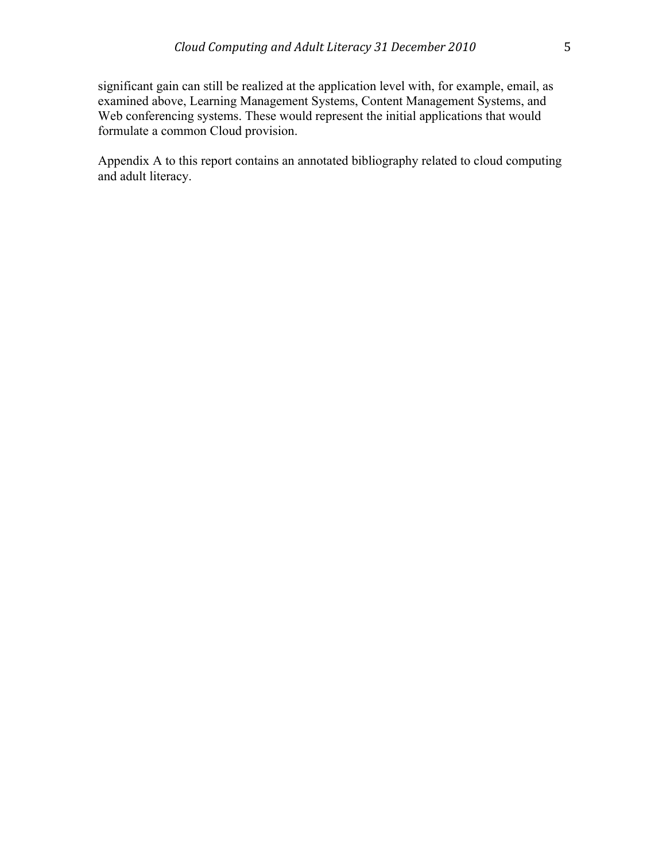significant gain can still be realized at the application level with, for example, email, as examined above, Learning Management Systems, Content Management Systems, and Web conferencing systems. These would represent the initial applications that would formulate a common Cloud provision.

Appendix A to this report contains an annotated bibliography related to cloud computing and adult literacy.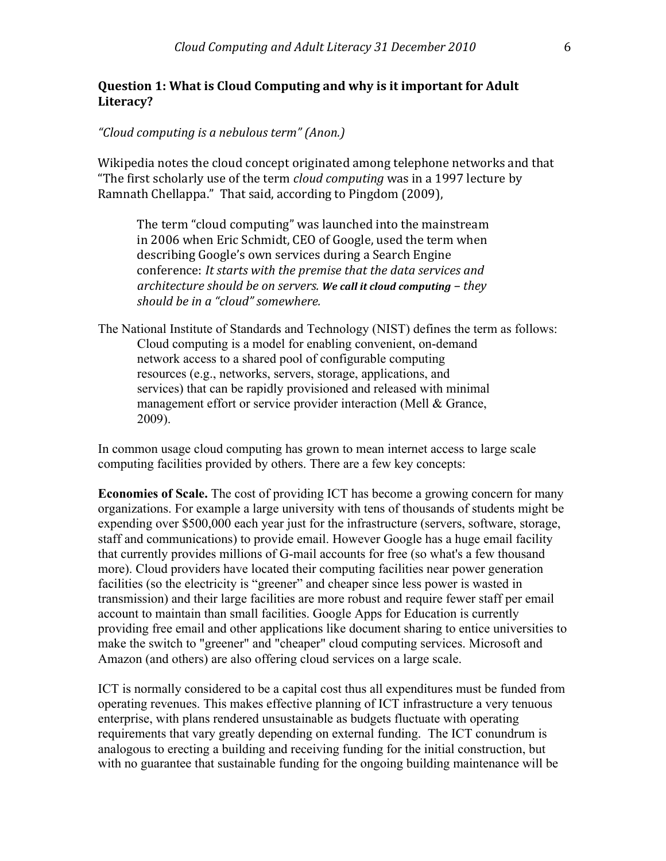# **Question 1: What is Cloud Computing and why is it important for Adult Literacy?**

## *"Cloud&computing&is&a&nebulous&term"&(Anon.)*

Wikipedia notes the cloud concept originated among telephone networks and that "The first scholarly use of the term *cloud computing* was in a 1997 lecture by Ramnath Chellappa." That said, according to Pingdom (2009),

The term "cloud computing" was launched into the mainstream in 2006 when Eric Schmidt, CEO of Google, used the term when describing Google's own services during a Search Engine conference: *It starts with the premise that the data services and architecture should be on servers.* We call it cloud computing – they *should&be&in&a&"cloud"&somewhere.*

The National Institute of Standards and Technology (NIST) defines the term as follows: Cloud computing is a model for enabling convenient, on-demand network access to a shared pool of configurable computing resources (e.g., networks, servers, storage, applications, and services) that can be rapidly provisioned and released with minimal management effort or service provider interaction (Mell & Grance, 2009).

In common usage cloud computing has grown to mean internet access to large scale computing facilities provided by others. There are a few key concepts:

**Economies of Scale.** The cost of providing ICT has become a growing concern for many organizations. For example a large university with tens of thousands of students might be expending over \$500,000 each year just for the infrastructure (servers, software, storage, staff and communications) to provide email. However Google has a huge email facility that currently provides millions of G-mail accounts for free (so what's a few thousand more). Cloud providers have located their computing facilities near power generation facilities (so the electricity is "greener" and cheaper since less power is wasted in transmission) and their large facilities are more robust and require fewer staff per email account to maintain than small facilities. Google Apps for Education is currently providing free email and other applications like document sharing to entice universities to make the switch to "greener" and "cheaper" cloud computing services. Microsoft and Amazon (and others) are also offering cloud services on a large scale.

ICT is normally considered to be a capital cost thus all expenditures must be funded from operating revenues. This makes effective planning of ICT infrastructure a very tenuous enterprise, with plans rendered unsustainable as budgets fluctuate with operating requirements that vary greatly depending on external funding. The ICT conundrum is analogous to erecting a building and receiving funding for the initial construction, but with no guarantee that sustainable funding for the ongoing building maintenance will be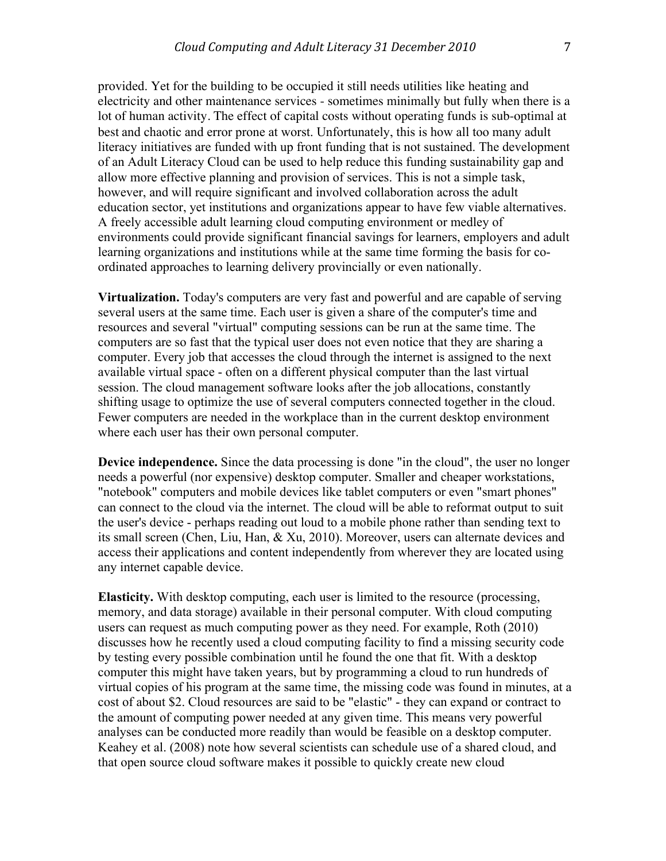provided. Yet for the building to be occupied it still needs utilities like heating and electricity and other maintenance services - sometimes minimally but fully when there is a lot of human activity. The effect of capital costs without operating funds is sub-optimal at best and chaotic and error prone at worst. Unfortunately, this is how all too many adult literacy initiatives are funded with up front funding that is not sustained. The development of an Adult Literacy Cloud can be used to help reduce this funding sustainability gap and allow more effective planning and provision of services. This is not a simple task, however, and will require significant and involved collaboration across the adult education sector, yet institutions and organizations appear to have few viable alternatives. A freely accessible adult learning cloud computing environment or medley of environments could provide significant financial savings for learners, employers and adult learning organizations and institutions while at the same time forming the basis for coordinated approaches to learning delivery provincially or even nationally.

**Virtualization.** Today's computers are very fast and powerful and are capable of serving several users at the same time. Each user is given a share of the computer's time and resources and several "virtual" computing sessions can be run at the same time. The computers are so fast that the typical user does not even notice that they are sharing a computer. Every job that accesses the cloud through the internet is assigned to the next available virtual space - often on a different physical computer than the last virtual session. The cloud management software looks after the job allocations, constantly shifting usage to optimize the use of several computers connected together in the cloud. Fewer computers are needed in the workplace than in the current desktop environment where each user has their own personal computer.

**Device independence.** Since the data processing is done "in the cloud", the user no longer needs a powerful (nor expensive) desktop computer. Smaller and cheaper workstations, "notebook" computers and mobile devices like tablet computers or even "smart phones" can connect to the cloud via the internet. The cloud will be able to reformat output to suit the user's device - perhaps reading out loud to a mobile phone rather than sending text to its small screen (Chen, Liu, Han, & Xu, 2010). Moreover, users can alternate devices and access their applications and content independently from wherever they are located using any internet capable device.

**Elasticity.** With desktop computing, each user is limited to the resource (processing, memory, and data storage) available in their personal computer. With cloud computing users can request as much computing power as they need. For example, Roth (2010) discusses how he recently used a cloud computing facility to find a missing security code by testing every possible combination until he found the one that fit. With a desktop computer this might have taken years, but by programming a cloud to run hundreds of virtual copies of his program at the same time, the missing code was found in minutes, at a cost of about \$2. Cloud resources are said to be "elastic" - they can expand or contract to the amount of computing power needed at any given time. This means very powerful analyses can be conducted more readily than would be feasible on a desktop computer. Keahey et al. (2008) note how several scientists can schedule use of a shared cloud, and that open source cloud software makes it possible to quickly create new cloud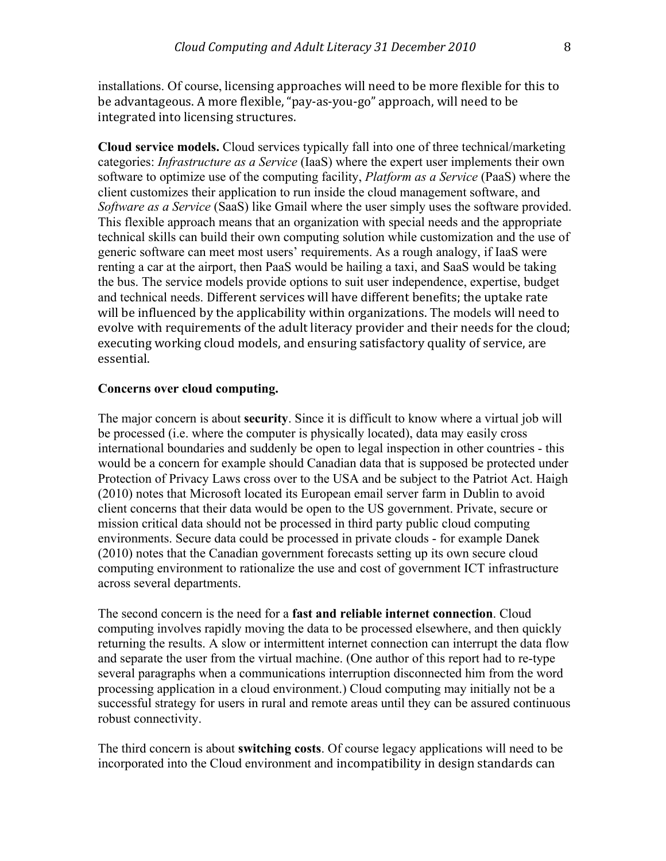installations. Of course, licensing approaches will need to be more flexible for this to be advantageous. A more flexible, "pay-as-you-go" approach, will need to be integrated into licensing structures.

**Cloud service models.** Cloud services typically fall into one of three technical/marketing categories: *Infrastructure as a Service* (IaaS) where the expert user implements their own software to optimize use of the computing facility, *Platform as a Service* (PaaS) where the client customizes their application to run inside the cloud management software, and *Software as a Service* (SaaS) like Gmail where the user simply uses the software provided. This flexible approach means that an organization with special needs and the appropriate technical skills can build their own computing solution while customization and the use of generic software can meet most users' requirements. As a rough analogy, if IaaS were renting a car at the airport, then PaaS would be hailing a taxi, and SaaS would be taking the bus. The service models provide options to suit user independence, expertise, budget and technical needs. Different services will have different benefits; the uptake rate will be influenced by the applicability within organizations. The models will need to evolve with requirements of the adult literacy provider and their needs for the cloud; executing working cloud models, and ensuring satisfactory quality of service, are essential.

#### **Concerns over cloud computing.**

The major concern is about **security**. Since it is difficult to know where a virtual job will be processed (i.e. where the computer is physically located), data may easily cross international boundaries and suddenly be open to legal inspection in other countries - this would be a concern for example should Canadian data that is supposed be protected under Protection of Privacy Laws cross over to the USA and be subject to the Patriot Act. Haigh (2010) notes that Microsoft located its European email server farm in Dublin to avoid client concerns that their data would be open to the US government. Private, secure or mission critical data should not be processed in third party public cloud computing environments. Secure data could be processed in private clouds - for example Danek (2010) notes that the Canadian government forecasts setting up its own secure cloud computing environment to rationalize the use and cost of government ICT infrastructure across several departments.

The second concern is the need for a **fast and reliable internet connection**. Cloud computing involves rapidly moving the data to be processed elsewhere, and then quickly returning the results. A slow or intermittent internet connection can interrupt the data flow and separate the user from the virtual machine. (One author of this report had to re-type several paragraphs when a communications interruption disconnected him from the word processing application in a cloud environment.) Cloud computing may initially not be a successful strategy for users in rural and remote areas until they can be assured continuous robust connectivity.

The third concern is about **switching costs**. Of course legacy applications will need to be incorporated into the Cloud environment and incompatibility in design standards can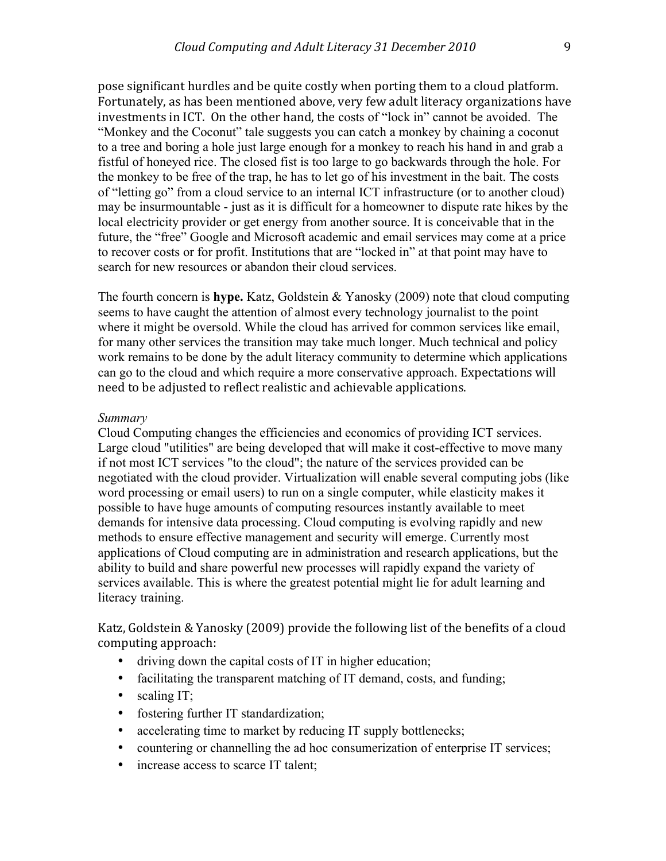pose significant hurdles and be quite costly when porting them to a cloud platform. Fortunately, as has been mentioned above, very few adult literacy organizations have investments in ICT. On the other hand, the costs of "lock in" cannot be avoided. The "Monkey and the Coconut" tale suggests you can catch a monkey by chaining a coconut to a tree and boring a hole just large enough for a monkey to reach his hand in and grab a fistful of honeyed rice. The closed fist is too large to go backwards through the hole. For the monkey to be free of the trap, he has to let go of his investment in the bait. The costs of "letting go" from a cloud service to an internal ICT infrastructure (or to another cloud) may be insurmountable - just as it is difficult for a homeowner to dispute rate hikes by the local electricity provider or get energy from another source. It is conceivable that in the future, the "free" Google and Microsoft academic and email services may come at a price to recover costs or for profit. Institutions that are "locked in" at that point may have to search for new resources or abandon their cloud services.

The fourth concern is **hype.** Katz, Goldstein & Yanosky (2009) note that cloud computing seems to have caught the attention of almost every technology journalist to the point where it might be oversold. While the cloud has arrived for common services like email, for many other services the transition may take much longer. Much technical and policy work remains to be done by the adult literacy community to determine which applications can go to the cloud and which require a more conservative approach. Expectations will need to be adjusted to reflect realistic and achievable applications.

#### *Summary*

Cloud Computing changes the efficiencies and economics of providing ICT services. Large cloud "utilities" are being developed that will make it cost-effective to move many if not most ICT services "to the cloud"; the nature of the services provided can be negotiated with the cloud provider. Virtualization will enable several computing jobs (like word processing or email users) to run on a single computer, while elasticity makes it possible to have huge amounts of computing resources instantly available to meet demands for intensive data processing. Cloud computing is evolving rapidly and new methods to ensure effective management and security will emerge. Currently most applications of Cloud computing are in administration and research applications, but the ability to build and share powerful new processes will rapidly expand the variety of services available. This is where the greatest potential might lie for adult learning and literacy training.

Katz, Goldstein & Yanosky (2009) provide the following list of the benefits of a cloud computing approach:

- driving down the capital costs of IT in higher education;
- facilitating the transparent matching of IT demand, costs, and funding;
- scaling IT;
- fostering further IT standardization;
- accelerating time to market by reducing IT supply bottlenecks;
- countering or channelling the ad hoc consumerization of enterprise IT services;
- increase access to scarce IT talent;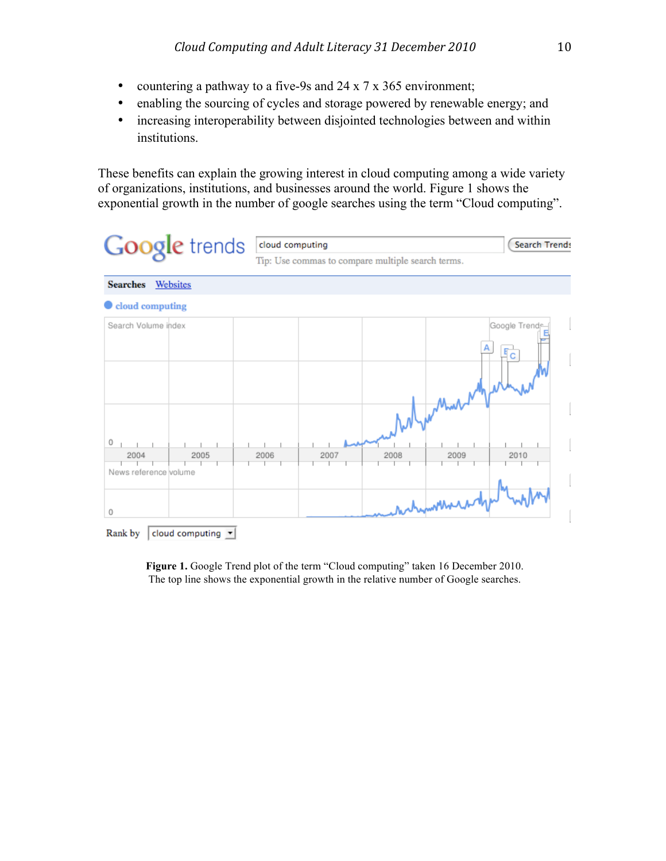- countering a pathway to a five-9s and 24 x 7 x 365 environment;
- enabling the sourcing of cycles and storage powered by renewable energy; and
- increasing interoperability between disjointed technologies between and within institutions.

These benefits can explain the growing interest in cloud computing among a wide variety of organizations, institutions, and businesses around the world. Figure 1 shows the exponential growth in the number of google searches using the term "Cloud computing".

| <b>Google</b> trends                                              | cloud computing<br><b>Search Trends</b><br>Tip: Use commas to compare multiple search terms. |
|-------------------------------------------------------------------|----------------------------------------------------------------------------------------------|
| <b>Searches</b><br>Websites                                       |                                                                                              |
| cloud computing                                                   |                                                                                              |
| Search Volume index<br>0<br>2004<br>2005<br>News reference volume | Google Trend<br>Гc<br>2006<br>2007<br>2008<br>2009<br>2010<br>metromomera                    |
| 0                                                                 |                                                                                              |
| Rank by<br>cloud computing $\vert \mathbf{v} \vert$               |                                                                                              |

**Figure 1.** Google Trend plot of the term "Cloud computing" taken 16 December 2010. The top line shows the exponential growth in the relative number of Google searches.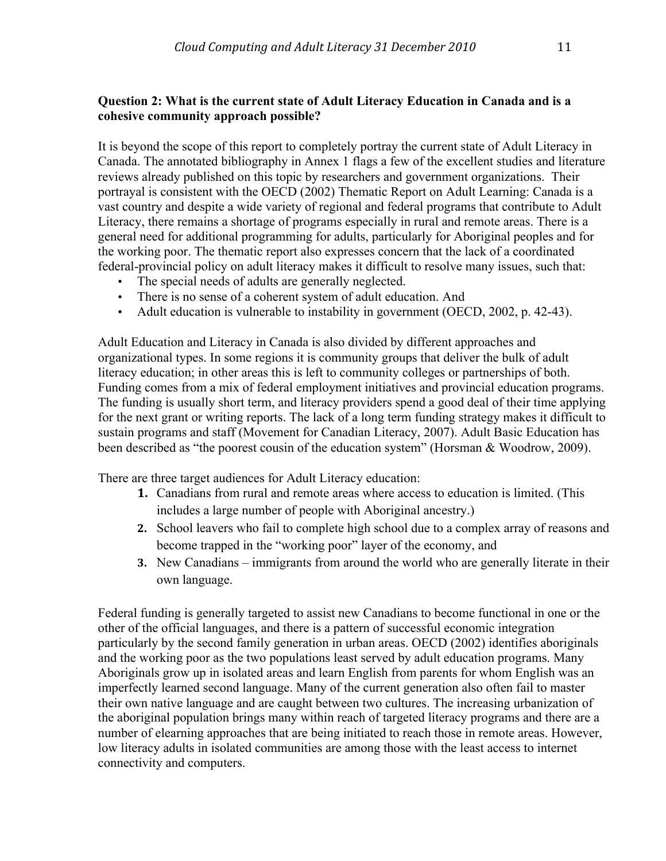# **Question 2: What is the current state of Adult Literacy Education in Canada and is a cohesive community approach possible?**

It is beyond the scope of this report to completely portray the current state of Adult Literacy in Canada. The annotated bibliography in Annex 1 flags a few of the excellent studies and literature reviews already published on this topic by researchers and government organizations. Their portrayal is consistent with the OECD (2002) Thematic Report on Adult Learning: Canada is a vast country and despite a wide variety of regional and federal programs that contribute to Adult Literacy, there remains a shortage of programs especially in rural and remote areas. There is a general need for additional programming for adults, particularly for Aboriginal peoples and for the working poor. The thematic report also expresses concern that the lack of a coordinated federal-provincial policy on adult literacy makes it difficult to resolve many issues, such that:

- The special needs of adults are generally neglected.
- There is no sense of a coherent system of adult education. And
- Adult education is vulnerable to instability in government (OECD, 2002, p. 42-43).

Adult Education and Literacy in Canada is also divided by different approaches and organizational types. In some regions it is community groups that deliver the bulk of adult literacy education; in other areas this is left to community colleges or partnerships of both. Funding comes from a mix of federal employment initiatives and provincial education programs. The funding is usually short term, and literacy providers spend a good deal of their time applying for the next grant or writing reports. The lack of a long term funding strategy makes it difficult to sustain programs and staff (Movement for Canadian Literacy, 2007). Adult Basic Education has been described as "the poorest cousin of the education system" (Horsman & Woodrow, 2009).

There are three target audiences for Adult Literacy education:

- **1.** Canadians from rural and remote areas where access to education is limited. (This includes a large number of people with Aboriginal ancestry.)
- **2.** School leavers who fail to complete high school due to a complex array of reasons and become trapped in the "working poor" layer of the economy, and
- **3.** New Canadians immigrants from around the world who are generally literate in their own language.

Federal funding is generally targeted to assist new Canadians to become functional in one or the other of the official languages, and there is a pattern of successful economic integration particularly by the second family generation in urban areas. OECD (2002) identifies aboriginals and the working poor as the two populations least served by adult education programs. Many Aboriginals grow up in isolated areas and learn English from parents for whom English was an imperfectly learned second language. Many of the current generation also often fail to master their own native language and are caught between two cultures. The increasing urbanization of the aboriginal population brings many within reach of targeted literacy programs and there are a number of elearning approaches that are being initiated to reach those in remote areas. However, low literacy adults in isolated communities are among those with the least access to internet connectivity and computers.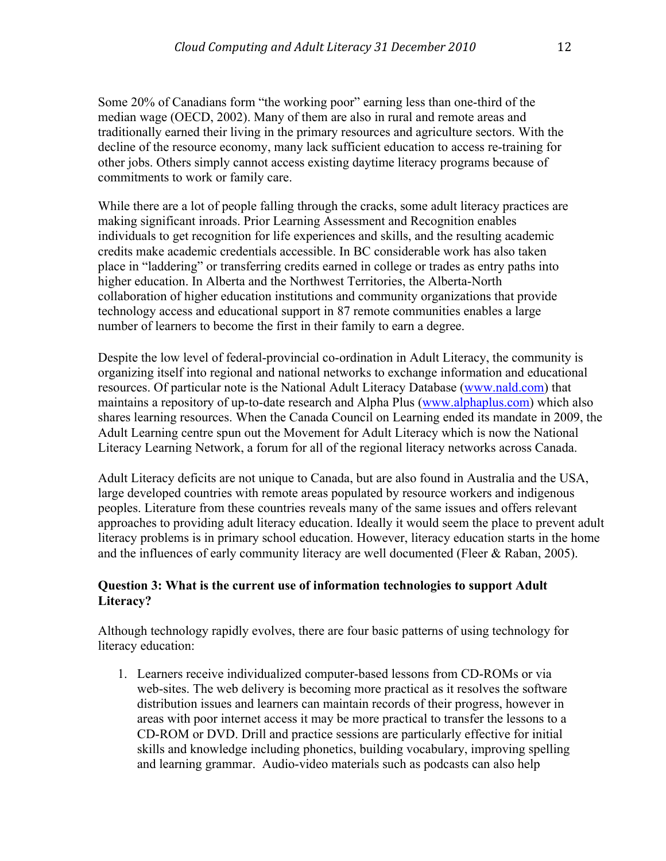Some 20% of Canadians form "the working poor" earning less than one-third of the median wage (OECD, 2002). Many of them are also in rural and remote areas and traditionally earned their living in the primary resources and agriculture sectors. With the decline of the resource economy, many lack sufficient education to access re-training for other jobs. Others simply cannot access existing daytime literacy programs because of commitments to work or family care.

While there are a lot of people falling through the cracks, some adult literacy practices are making significant inroads. Prior Learning Assessment and Recognition enables individuals to get recognition for life experiences and skills, and the resulting academic credits make academic credentials accessible. In BC considerable work has also taken place in "laddering" or transferring credits earned in college or trades as entry paths into higher education. In Alberta and the Northwest Territories, the Alberta-North collaboration of higher education institutions and community organizations that provide technology access and educational support in 87 remote communities enables a large number of learners to become the first in their family to earn a degree.

Despite the low level of federal-provincial co-ordination in Adult Literacy, the community is organizing itself into regional and national networks to exchange information and educational resources. Of particular note is the National Adult Literacy Database (www.nald.com) that maintains a repository of up-to-date research and Alpha Plus (www.alphaplus.com) which also shares learning resources. When the Canada Council on Learning ended its mandate in 2009, the Adult Learning centre spun out the Movement for Adult Literacy which is now the National Literacy Learning Network, a forum for all of the regional literacy networks across Canada.

Adult Literacy deficits are not unique to Canada, but are also found in Australia and the USA, large developed countries with remote areas populated by resource workers and indigenous peoples. Literature from these countries reveals many of the same issues and offers relevant approaches to providing adult literacy education. Ideally it would seem the place to prevent adult literacy problems is in primary school education. However, literacy education starts in the home and the influences of early community literacy are well documented (Fleer & Raban, 2005).

# **Question 3: What is the current use of information technologies to support Adult Literacy?**

Although technology rapidly evolves, there are four basic patterns of using technology for literacy education:

1. Learners receive individualized computer-based lessons from CD-ROMs or via web-sites. The web delivery is becoming more practical as it resolves the software distribution issues and learners can maintain records of their progress, however in areas with poor internet access it may be more practical to transfer the lessons to a CD-ROM or DVD. Drill and practice sessions are particularly effective for initial skills and knowledge including phonetics, building vocabulary, improving spelling and learning grammar. Audio-video materials such as podcasts can also help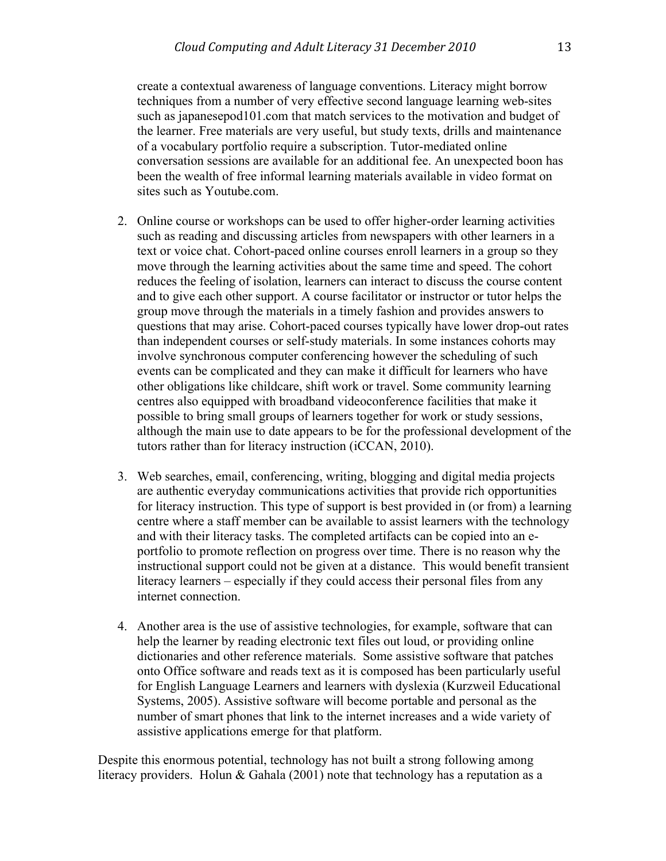create a contextual awareness of language conventions. Literacy might borrow techniques from a number of very effective second language learning web-sites such as japanesepod101.com that match services to the motivation and budget of the learner. Free materials are very useful, but study texts, drills and maintenance of a vocabulary portfolio require a subscription. Tutor-mediated online conversation sessions are available for an additional fee. An unexpected boon has been the wealth of free informal learning materials available in video format on sites such as Youtube.com.

- 2. Online course or workshops can be used to offer higher-order learning activities such as reading and discussing articles from newspapers with other learners in a text or voice chat. Cohort-paced online courses enroll learners in a group so they move through the learning activities about the same time and speed. The cohort reduces the feeling of isolation, learners can interact to discuss the course content and to give each other support. A course facilitator or instructor or tutor helps the group move through the materials in a timely fashion and provides answers to questions that may arise. Cohort-paced courses typically have lower drop-out rates than independent courses or self-study materials. In some instances cohorts may involve synchronous computer conferencing however the scheduling of such events can be complicated and they can make it difficult for learners who have other obligations like childcare, shift work or travel. Some community learning centres also equipped with broadband videoconference facilities that make it possible to bring small groups of learners together for work or study sessions, although the main use to date appears to be for the professional development of the tutors rather than for literacy instruction (iCCAN, 2010).
- 3. Web searches, email, conferencing, writing, blogging and digital media projects are authentic everyday communications activities that provide rich opportunities for literacy instruction. This type of support is best provided in (or from) a learning centre where a staff member can be available to assist learners with the technology and with their literacy tasks. The completed artifacts can be copied into an eportfolio to promote reflection on progress over time. There is no reason why the instructional support could not be given at a distance. This would benefit transient literacy learners – especially if they could access their personal files from any internet connection.
- 4. Another area is the use of assistive technologies, for example, software that can help the learner by reading electronic text files out loud, or providing online dictionaries and other reference materials. Some assistive software that patches onto Office software and reads text as it is composed has been particularly useful for English Language Learners and learners with dyslexia (Kurzweil Educational Systems, 2005). Assistive software will become portable and personal as the number of smart phones that link to the internet increases and a wide variety of assistive applications emerge for that platform.

Despite this enormous potential, technology has not built a strong following among literacy providers. Holun & Gahala (2001) note that technology has a reputation as a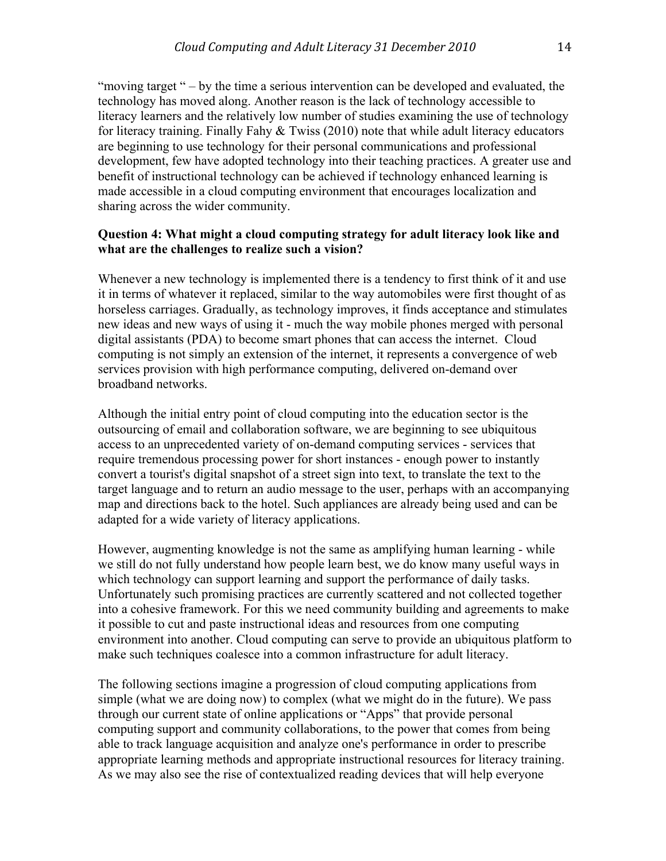"moving target " – by the time a serious intervention can be developed and evaluated, the technology has moved along. Another reason is the lack of technology accessible to literacy learners and the relatively low number of studies examining the use of technology for literacy training. Finally Fahy & Twiss (2010) note that while adult literacy educators are beginning to use technology for their personal communications and professional development, few have adopted technology into their teaching practices. A greater use and benefit of instructional technology can be achieved if technology enhanced learning is made accessible in a cloud computing environment that encourages localization and sharing across the wider community.

# **Question 4: What might a cloud computing strategy for adult literacy look like and what are the challenges to realize such a vision?**

Whenever a new technology is implemented there is a tendency to first think of it and use it in terms of whatever it replaced, similar to the way automobiles were first thought of as horseless carriages. Gradually, as technology improves, it finds acceptance and stimulates new ideas and new ways of using it - much the way mobile phones merged with personal digital assistants (PDA) to become smart phones that can access the internet. Cloud computing is not simply an extension of the internet, it represents a convergence of web services provision with high performance computing, delivered on-demand over broadband networks.

Although the initial entry point of cloud computing into the education sector is the outsourcing of email and collaboration software, we are beginning to see ubiquitous access to an unprecedented variety of on-demand computing services - services that require tremendous processing power for short instances - enough power to instantly convert a tourist's digital snapshot of a street sign into text, to translate the text to the target language and to return an audio message to the user, perhaps with an accompanying map and directions back to the hotel. Such appliances are already being used and can be adapted for a wide variety of literacy applications.

However, augmenting knowledge is not the same as amplifying human learning - while we still do not fully understand how people learn best, we do know many useful ways in which technology can support learning and support the performance of daily tasks. Unfortunately such promising practices are currently scattered and not collected together into a cohesive framework. For this we need community building and agreements to make it possible to cut and paste instructional ideas and resources from one computing environment into another. Cloud computing can serve to provide an ubiquitous platform to make such techniques coalesce into a common infrastructure for adult literacy.

The following sections imagine a progression of cloud computing applications from simple (what we are doing now) to complex (what we might do in the future). We pass through our current state of online applications or "Apps" that provide personal computing support and community collaborations, to the power that comes from being able to track language acquisition and analyze one's performance in order to prescribe appropriate learning methods and appropriate instructional resources for literacy training. As we may also see the rise of contextualized reading devices that will help everyone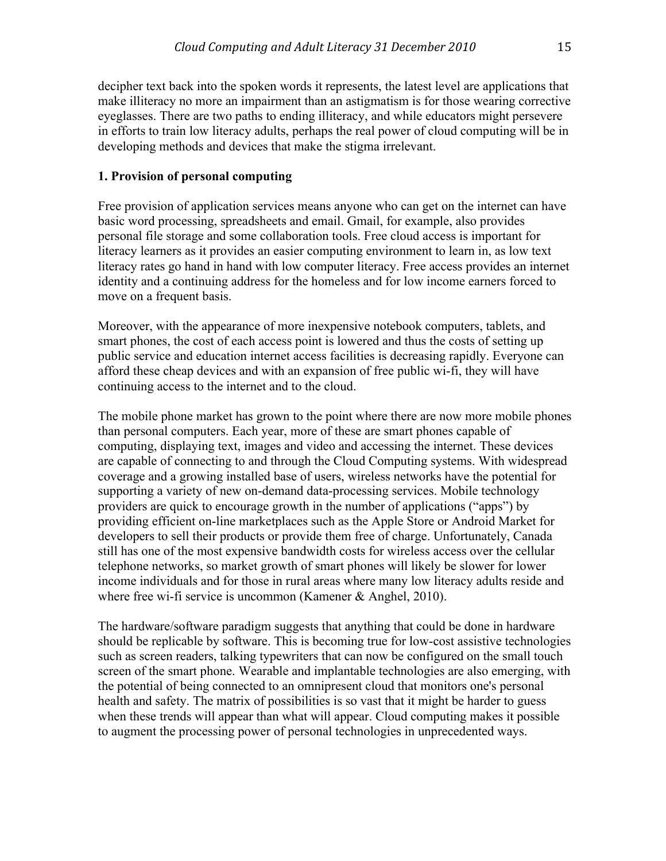decipher text back into the spoken words it represents, the latest level are applications that make illiteracy no more an impairment than an astigmatism is for those wearing corrective eyeglasses. There are two paths to ending illiteracy, and while educators might persevere in efforts to train low literacy adults, perhaps the real power of cloud computing will be in developing methods and devices that make the stigma irrelevant.

## **1. Provision of personal computing**

Free provision of application services means anyone who can get on the internet can have basic word processing, spreadsheets and email. Gmail, for example, also provides personal file storage and some collaboration tools. Free cloud access is important for literacy learners as it provides an easier computing environment to learn in, as low text literacy rates go hand in hand with low computer literacy. Free access provides an internet identity and a continuing address for the homeless and for low income earners forced to move on a frequent basis.

Moreover, with the appearance of more inexpensive notebook computers, tablets, and smart phones, the cost of each access point is lowered and thus the costs of setting up public service and education internet access facilities is decreasing rapidly. Everyone can afford these cheap devices and with an expansion of free public wi-fi, they will have continuing access to the internet and to the cloud.

The mobile phone market has grown to the point where there are now more mobile phones than personal computers. Each year, more of these are smart phones capable of computing, displaying text, images and video and accessing the internet. These devices are capable of connecting to and through the Cloud Computing systems. With widespread coverage and a growing installed base of users, wireless networks have the potential for supporting a variety of new on-demand data-processing services. Mobile technology providers are quick to encourage growth in the number of applications ("apps") by providing efficient on-line marketplaces such as the Apple Store or Android Market for developers to sell their products or provide them free of charge. Unfortunately, Canada still has one of the most expensive bandwidth costs for wireless access over the cellular telephone networks, so market growth of smart phones will likely be slower for lower income individuals and for those in rural areas where many low literacy adults reside and where free wi-fi service is uncommon (Kamener & Anghel, 2010).

The hardware/software paradigm suggests that anything that could be done in hardware should be replicable by software. This is becoming true for low-cost assistive technologies such as screen readers, talking typewriters that can now be configured on the small touch screen of the smart phone. Wearable and implantable technologies are also emerging, with the potential of being connected to an omnipresent cloud that monitors one's personal health and safety. The matrix of possibilities is so vast that it might be harder to guess when these trends will appear than what will appear. Cloud computing makes it possible to augment the processing power of personal technologies in unprecedented ways.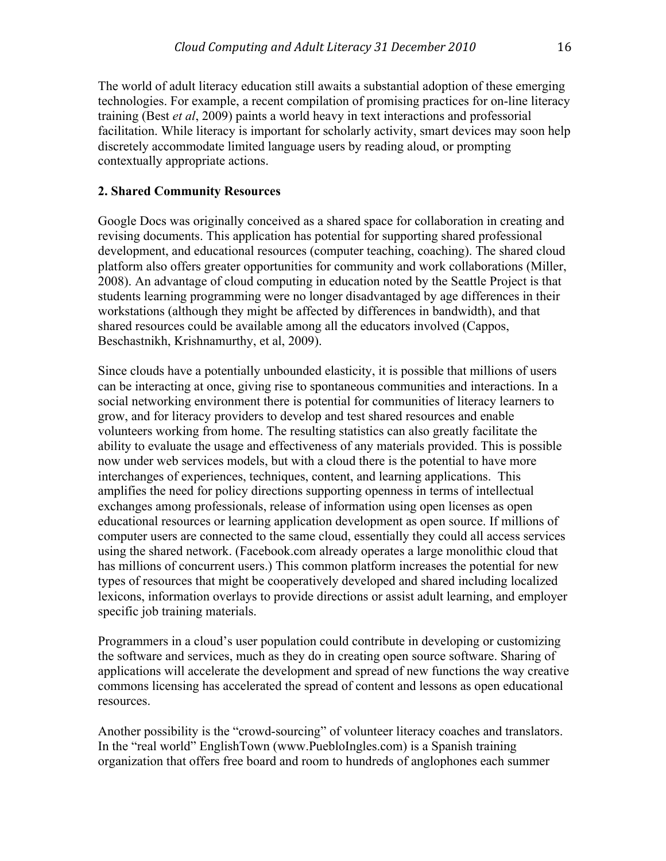The world of adult literacy education still awaits a substantial adoption of these emerging technologies. For example, a recent compilation of promising practices for on-line literacy training (Best *et al*, 2009) paints a world heavy in text interactions and professorial facilitation. While literacy is important for scholarly activity, smart devices may soon help discretely accommodate limited language users by reading aloud, or prompting contextually appropriate actions.

# **2. Shared Community Resources**

Google Docs was originally conceived as a shared space for collaboration in creating and revising documents. This application has potential for supporting shared professional development, and educational resources (computer teaching, coaching). The shared cloud platform also offers greater opportunities for community and work collaborations (Miller, 2008). An advantage of cloud computing in education noted by the Seattle Project is that students learning programming were no longer disadvantaged by age differences in their workstations (although they might be affected by differences in bandwidth), and that shared resources could be available among all the educators involved (Cappos, Beschastnikh, Krishnamurthy, et al, 2009).

Since clouds have a potentially unbounded elasticity, it is possible that millions of users can be interacting at once, giving rise to spontaneous communities and interactions. In a social networking environment there is potential for communities of literacy learners to grow, and for literacy providers to develop and test shared resources and enable volunteers working from home. The resulting statistics can also greatly facilitate the ability to evaluate the usage and effectiveness of any materials provided. This is possible now under web services models, but with a cloud there is the potential to have more interchanges of experiences, techniques, content, and learning applications. This amplifies the need for policy directions supporting openness in terms of intellectual exchanges among professionals, release of information using open licenses as open educational resources or learning application development as open source. If millions of computer users are connected to the same cloud, essentially they could all access services using the shared network. (Facebook.com already operates a large monolithic cloud that has millions of concurrent users.) This common platform increases the potential for new types of resources that might be cooperatively developed and shared including localized lexicons, information overlays to provide directions or assist adult learning, and employer specific job training materials.

Programmers in a cloud's user population could contribute in developing or customizing the software and services, much as they do in creating open source software. Sharing of applications will accelerate the development and spread of new functions the way creative commons licensing has accelerated the spread of content and lessons as open educational resources.

Another possibility is the "crowd-sourcing" of volunteer literacy coaches and translators. In the "real world" EnglishTown (www.PuebloIngles.com) is a Spanish training organization that offers free board and room to hundreds of anglophones each summer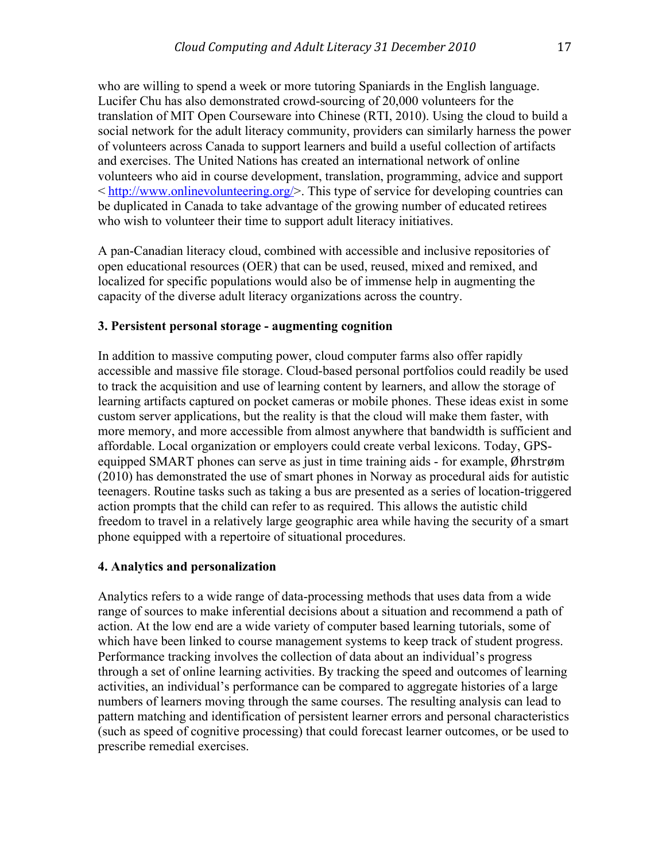who are willing to spend a week or more tutoring Spaniards in the English language. Lucifer Chu has also demonstrated crowd-sourcing of 20,000 volunteers for the translation of MIT Open Courseware into Chinese (RTI, 2010). Using the cloud to build a social network for the adult literacy community, providers can similarly harness the power of volunteers across Canada to support learners and build a useful collection of artifacts and exercises. The United Nations has created an international network of online volunteers who aid in course development, translation, programming, advice and support < http://www.onlinevolunteering.org/>. This type of service for developing countries can be duplicated in Canada to take advantage of the growing number of educated retirees who wish to volunteer their time to support adult literacy initiatives.

A pan-Canadian literacy cloud, combined with accessible and inclusive repositories of open educational resources (OER) that can be used, reused, mixed and remixed, and localized for specific populations would also be of immense help in augmenting the capacity of the diverse adult literacy organizations across the country.

## **3. Persistent personal storage - augmenting cognition**

In addition to massive computing power, cloud computer farms also offer rapidly accessible and massive file storage. Cloud-based personal portfolios could readily be used to track the acquisition and use of learning content by learners, and allow the storage of learning artifacts captured on pocket cameras or mobile phones. These ideas exist in some custom server applications, but the reality is that the cloud will make them faster, with more memory, and more accessible from almost anywhere that bandwidth is sufficient and affordable. Local organization or employers could create verbal lexicons. Today, GPSequipped SMART phones can serve as just in time training aids - for example, Øhrstrøm (2010) has demonstrated the use of smart phones in Norway as procedural aids for autistic teenagers. Routine tasks such as taking a bus are presented as a series of location-triggered action prompts that the child can refer to as required. This allows the autistic child freedom to travel in a relatively large geographic area while having the security of a smart phone equipped with a repertoire of situational procedures.

#### **4. Analytics and personalization**

Analytics refers to a wide range of data-processing methods that uses data from a wide range of sources to make inferential decisions about a situation and recommend a path of action. At the low end are a wide variety of computer based learning tutorials, some of which have been linked to course management systems to keep track of student progress. Performance tracking involves the collection of data about an individual's progress through a set of online learning activities. By tracking the speed and outcomes of learning activities, an individual's performance can be compared to aggregate histories of a large numbers of learners moving through the same courses. The resulting analysis can lead to pattern matching and identification of persistent learner errors and personal characteristics (such as speed of cognitive processing) that could forecast learner outcomes, or be used to prescribe remedial exercises.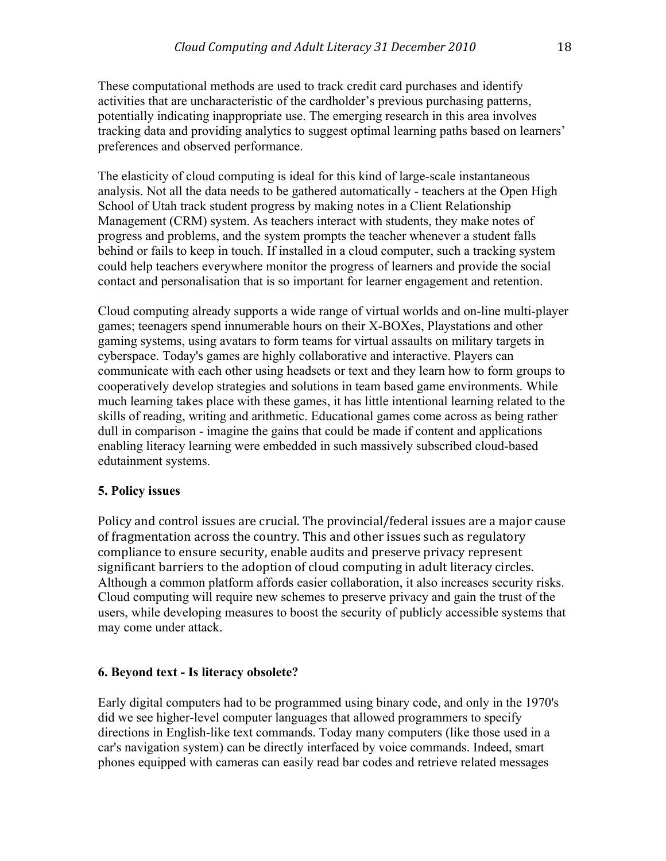These computational methods are used to track credit card purchases and identify activities that are uncharacteristic of the cardholder's previous purchasing patterns, potentially indicating inappropriate use. The emerging research in this area involves tracking data and providing analytics to suggest optimal learning paths based on learners' preferences and observed performance.

The elasticity of cloud computing is ideal for this kind of large-scale instantaneous analysis. Not all the data needs to be gathered automatically - teachers at the Open High School of Utah track student progress by making notes in a Client Relationship Management (CRM) system. As teachers interact with students, they make notes of progress and problems, and the system prompts the teacher whenever a student falls behind or fails to keep in touch. If installed in a cloud computer, such a tracking system could help teachers everywhere monitor the progress of learners and provide the social contact and personalisation that is so important for learner engagement and retention.

Cloud computing already supports a wide range of virtual worlds and on-line multi-player games; teenagers spend innumerable hours on their X-BOXes, Playstations and other gaming systems, using avatars to form teams for virtual assaults on military targets in cyberspace. Today's games are highly collaborative and interactive. Players can communicate with each other using headsets or text and they learn how to form groups to cooperatively develop strategies and solutions in team based game environments. While much learning takes place with these games, it has little intentional learning related to the skills of reading, writing and arithmetic. Educational games come across as being rather dull in comparison - imagine the gains that could be made if content and applications enabling literacy learning were embedded in such massively subscribed cloud-based edutainment systems.

# **5. Policy issues**

Policy and control issues are crucial. The provincial/federal issues are a major cause of fragmentation across the country. This and other issues such as regulatory compliance to ensure security, enable audits and preserve privacy represent significant barriers to the adoption of cloud computing in adult literacy circles. Although a common platform affords easier collaboration, it also increases security risks. Cloud computing will require new schemes to preserve privacy and gain the trust of the users, while developing measures to boost the security of publicly accessible systems that may come under attack.

## **6. Beyond text - Is literacy obsolete?**

Early digital computers had to be programmed using binary code, and only in the 1970's did we see higher-level computer languages that allowed programmers to specify directions in English-like text commands. Today many computers (like those used in a car's navigation system) can be directly interfaced by voice commands. Indeed, smart phones equipped with cameras can easily read bar codes and retrieve related messages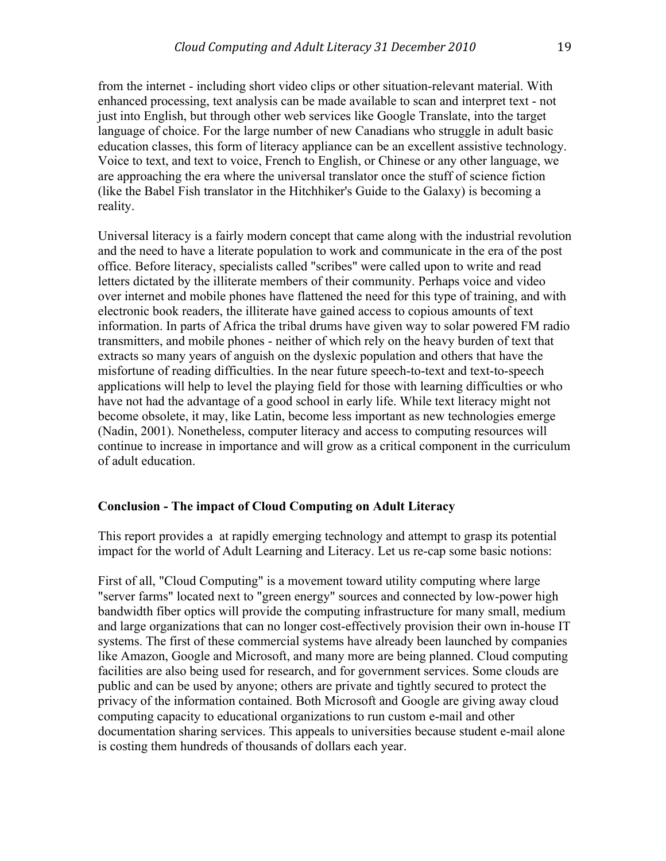from the internet - including short video clips or other situation-relevant material. With enhanced processing, text analysis can be made available to scan and interpret text - not just into English, but through other web services like Google Translate, into the target language of choice. For the large number of new Canadians who struggle in adult basic education classes, this form of literacy appliance can be an excellent assistive technology. Voice to text, and text to voice, French to English, or Chinese or any other language, we are approaching the era where the universal translator once the stuff of science fiction (like the Babel Fish translator in the Hitchhiker's Guide to the Galaxy) is becoming a reality.

Universal literacy is a fairly modern concept that came along with the industrial revolution and the need to have a literate population to work and communicate in the era of the post office. Before literacy, specialists called "scribes" were called upon to write and read letters dictated by the illiterate members of their community. Perhaps voice and video over internet and mobile phones have flattened the need for this type of training, and with electronic book readers, the illiterate have gained access to copious amounts of text information. In parts of Africa the tribal drums have given way to solar powered FM radio transmitters, and mobile phones - neither of which rely on the heavy burden of text that extracts so many years of anguish on the dyslexic population and others that have the misfortune of reading difficulties. In the near future speech-to-text and text-to-speech applications will help to level the playing field for those with learning difficulties or who have not had the advantage of a good school in early life. While text literacy might not become obsolete, it may, like Latin, become less important as new technologies emerge (Nadin, 2001). Nonetheless, computer literacy and access to computing resources will continue to increase in importance and will grow as a critical component in the curriculum of adult education.

## **Conclusion - The impact of Cloud Computing on Adult Literacy**

This report provides a at rapidly emerging technology and attempt to grasp its potential impact for the world of Adult Learning and Literacy. Let us re-cap some basic notions:

First of all, "Cloud Computing" is a movement toward utility computing where large "server farms" located next to "green energy" sources and connected by low-power high bandwidth fiber optics will provide the computing infrastructure for many small, medium and large organizations that can no longer cost-effectively provision their own in-house IT systems. The first of these commercial systems have already been launched by companies like Amazon, Google and Microsoft, and many more are being planned. Cloud computing facilities are also being used for research, and for government services. Some clouds are public and can be used by anyone; others are private and tightly secured to protect the privacy of the information contained. Both Microsoft and Google are giving away cloud computing capacity to educational organizations to run custom e-mail and other documentation sharing services. This appeals to universities because student e-mail alone is costing them hundreds of thousands of dollars each year.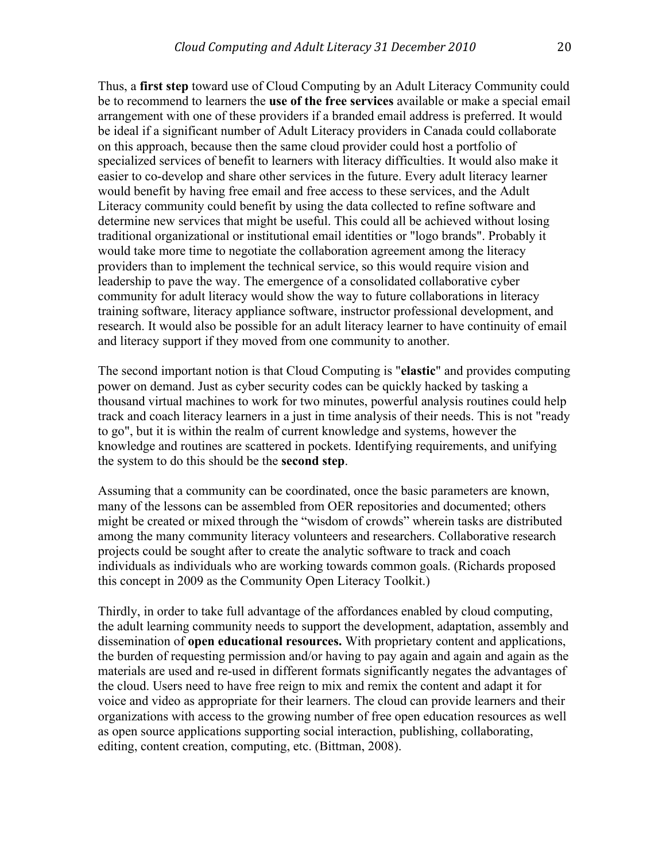Thus, a **first step** toward use of Cloud Computing by an Adult Literacy Community could be to recommend to learners the **use of the free services** available or make a special email arrangement with one of these providers if a branded email address is preferred. It would be ideal if a significant number of Adult Literacy providers in Canada could collaborate on this approach, because then the same cloud provider could host a portfolio of specialized services of benefit to learners with literacy difficulties. It would also make it easier to co-develop and share other services in the future. Every adult literacy learner would benefit by having free email and free access to these services, and the Adult Literacy community could benefit by using the data collected to refine software and determine new services that might be useful. This could all be achieved without losing traditional organizational or institutional email identities or "logo brands". Probably it would take more time to negotiate the collaboration agreement among the literacy providers than to implement the technical service, so this would require vision and leadership to pave the way. The emergence of a consolidated collaborative cyber community for adult literacy would show the way to future collaborations in literacy training software, literacy appliance software, instructor professional development, and research. It would also be possible for an adult literacy learner to have continuity of email and literacy support if they moved from one community to another.

The second important notion is that Cloud Computing is "**elastic**" and provides computing power on demand. Just as cyber security codes can be quickly hacked by tasking a thousand virtual machines to work for two minutes, powerful analysis routines could help track and coach literacy learners in a just in time analysis of their needs. This is not "ready to go", but it is within the realm of current knowledge and systems, however the knowledge and routines are scattered in pockets. Identifying requirements, and unifying the system to do this should be the **second step**.

Assuming that a community can be coordinated, once the basic parameters are known, many of the lessons can be assembled from OER repositories and documented; others might be created or mixed through the "wisdom of crowds" wherein tasks are distributed among the many community literacy volunteers and researchers. Collaborative research projects could be sought after to create the analytic software to track and coach individuals as individuals who are working towards common goals. (Richards proposed this concept in 2009 as the Community Open Literacy Toolkit.)

Thirdly, in order to take full advantage of the affordances enabled by cloud computing, the adult learning community needs to support the development, adaptation, assembly and dissemination of **open educational resources.** With proprietary content and applications, the burden of requesting permission and/or having to pay again and again and again as the materials are used and re-used in different formats significantly negates the advantages of the cloud. Users need to have free reign to mix and remix the content and adapt it for voice and video as appropriate for their learners. The cloud can provide learners and their organizations with access to the growing number of free open education resources as well as open source applications supporting social interaction, publishing, collaborating, editing, content creation, computing, etc. (Bittman, 2008).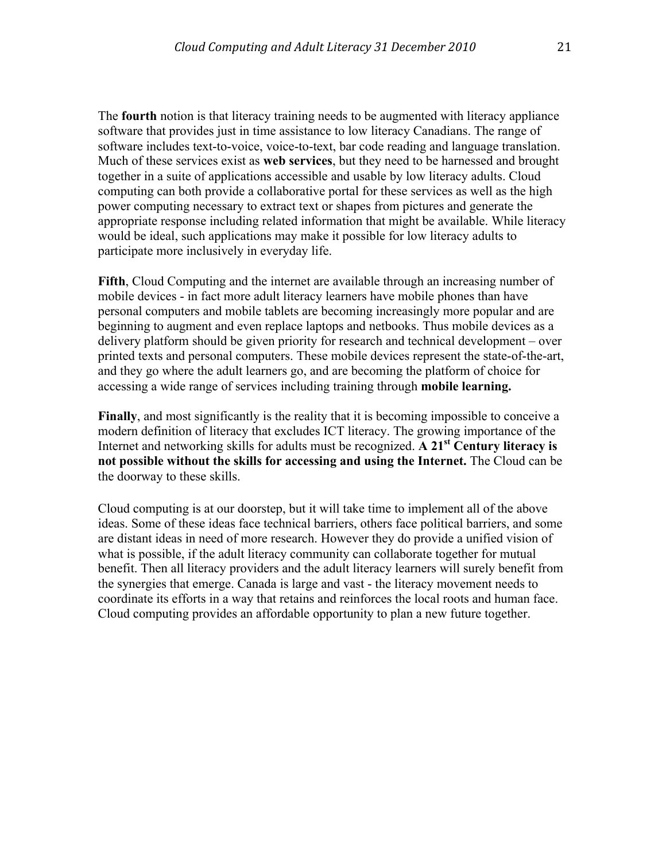The **fourth** notion is that literacy training needs to be augmented with literacy appliance software that provides just in time assistance to low literacy Canadians. The range of software includes text-to-voice, voice-to-text, bar code reading and language translation. Much of these services exist as **web services**, but they need to be harnessed and brought together in a suite of applications accessible and usable by low literacy adults. Cloud computing can both provide a collaborative portal for these services as well as the high power computing necessary to extract text or shapes from pictures and generate the appropriate response including related information that might be available. While literacy would be ideal, such applications may make it possible for low literacy adults to participate more inclusively in everyday life.

Fifth, Cloud Computing and the internet are available through an increasing number of mobile devices - in fact more adult literacy learners have mobile phones than have personal computers and mobile tablets are becoming increasingly more popular and are beginning to augment and even replace laptops and netbooks. Thus mobile devices as a delivery platform should be given priority for research and technical development – over printed texts and personal computers. These mobile devices represent the state-of-the-art, and they go where the adult learners go, and are becoming the platform of choice for accessing a wide range of services including training through **mobile learning.**

**Finally**, and most significantly is the reality that it is becoming impossible to conceive a modern definition of literacy that excludes ICT literacy. The growing importance of the Internet and networking skills for adults must be recognized. **A 21st Century literacy is not possible without the skills for accessing and using the Internet.** The Cloud can be the doorway to these skills.

Cloud computing is at our doorstep, but it will take time to implement all of the above ideas. Some of these ideas face technical barriers, others face political barriers, and some are distant ideas in need of more research. However they do provide a unified vision of what is possible, if the adult literacy community can collaborate together for mutual benefit. Then all literacy providers and the adult literacy learners will surely benefit from the synergies that emerge. Canada is large and vast - the literacy movement needs to coordinate its efforts in a way that retains and reinforces the local roots and human face. Cloud computing provides an affordable opportunity to plan a new future together.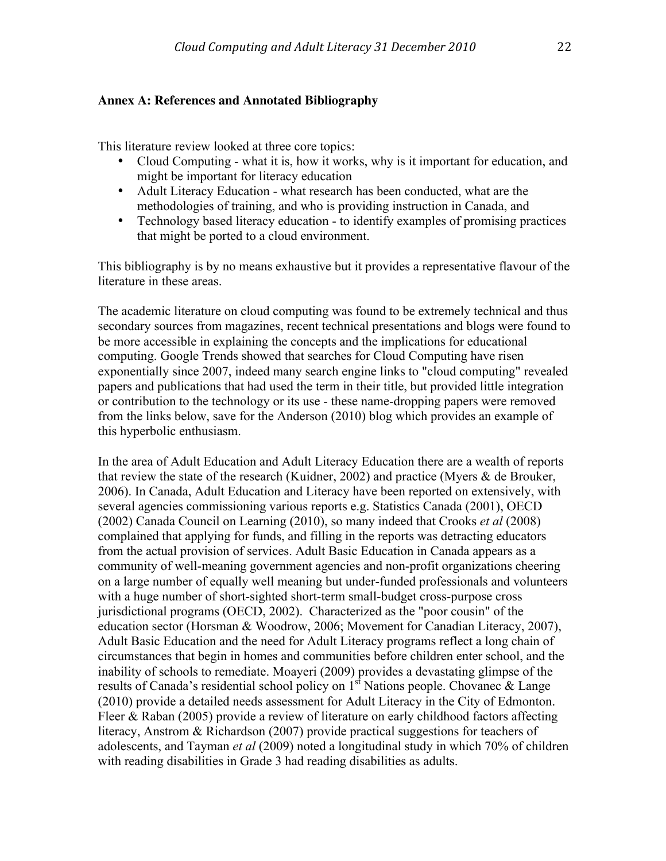## **Annex A: References and Annotated Bibliography**

This literature review looked at three core topics:

- Cloud Computing what it is, how it works, why is it important for education, and might be important for literacy education
- Adult Literacy Education what research has been conducted, what are the methodologies of training, and who is providing instruction in Canada, and
- Technology based literacy education to identify examples of promising practices that might be ported to a cloud environment.

This bibliography is by no means exhaustive but it provides a representative flavour of the literature in these areas.

The academic literature on cloud computing was found to be extremely technical and thus secondary sources from magazines, recent technical presentations and blogs were found to be more accessible in explaining the concepts and the implications for educational computing. Google Trends showed that searches for Cloud Computing have risen exponentially since 2007, indeed many search engine links to "cloud computing" revealed papers and publications that had used the term in their title, but provided little integration or contribution to the technology or its use - these name-dropping papers were removed from the links below, save for the Anderson (2010) blog which provides an example of this hyperbolic enthusiasm.

In the area of Adult Education and Adult Literacy Education there are a wealth of reports that review the state of the research (Kuidner, 2002) and practice (Myers & de Brouker, 2006). In Canada, Adult Education and Literacy have been reported on extensively, with several agencies commissioning various reports e.g. Statistics Canada (2001), OECD (2002) Canada Council on Learning (2010), so many indeed that Crooks *et al* (2008) complained that applying for funds, and filling in the reports was detracting educators from the actual provision of services. Adult Basic Education in Canada appears as a community of well-meaning government agencies and non-profit organizations cheering on a large number of equally well meaning but under-funded professionals and volunteers with a huge number of short-sighted short-term small-budget cross-purpose cross jurisdictional programs (OECD, 2002). Characterized as the "poor cousin" of the education sector (Horsman & Woodrow, 2006; Movement for Canadian Literacy, 2007), Adult Basic Education and the need for Adult Literacy programs reflect a long chain of circumstances that begin in homes and communities before children enter school, and the inability of schools to remediate. Moayeri (2009) provides a devastating glimpse of the results of Canada's residential school policy on  $1<sup>st</sup>$  Nations people. Chovanec & Lange (2010) provide a detailed needs assessment for Adult Literacy in the City of Edmonton. Fleer & Raban (2005) provide a review of literature on early childhood factors affecting literacy, Anstrom & Richardson (2007) provide practical suggestions for teachers of adolescents, and Tayman *et al* (2009) noted a longitudinal study in which 70% of children with reading disabilities in Grade 3 had reading disabilities as adults.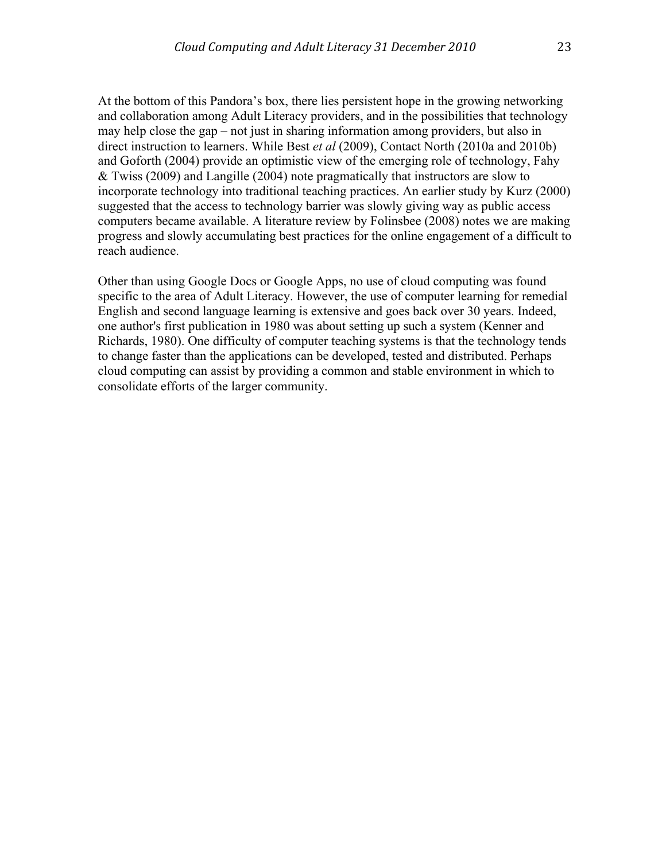At the bottom of this Pandora's box, there lies persistent hope in the growing networking and collaboration among Adult Literacy providers, and in the possibilities that technology may help close the gap – not just in sharing information among providers, but also in direct instruction to learners. While Best *et al* (2009), Contact North (2010a and 2010b) and Goforth (2004) provide an optimistic view of the emerging role of technology, Fahy & Twiss (2009) and Langille (2004) note pragmatically that instructors are slow to incorporate technology into traditional teaching practices. An earlier study by Kurz (2000) suggested that the access to technology barrier was slowly giving way as public access computers became available. A literature review by Folinsbee (2008) notes we are making progress and slowly accumulating best practices for the online engagement of a difficult to reach audience.

Other than using Google Docs or Google Apps, no use of cloud computing was found specific to the area of Adult Literacy. However, the use of computer learning for remedial English and second language learning is extensive and goes back over 30 years. Indeed, one author's first publication in 1980 was about setting up such a system (Kenner and Richards, 1980). One difficulty of computer teaching systems is that the technology tends to change faster than the applications can be developed, tested and distributed. Perhaps cloud computing can assist by providing a common and stable environment in which to consolidate efforts of the larger community.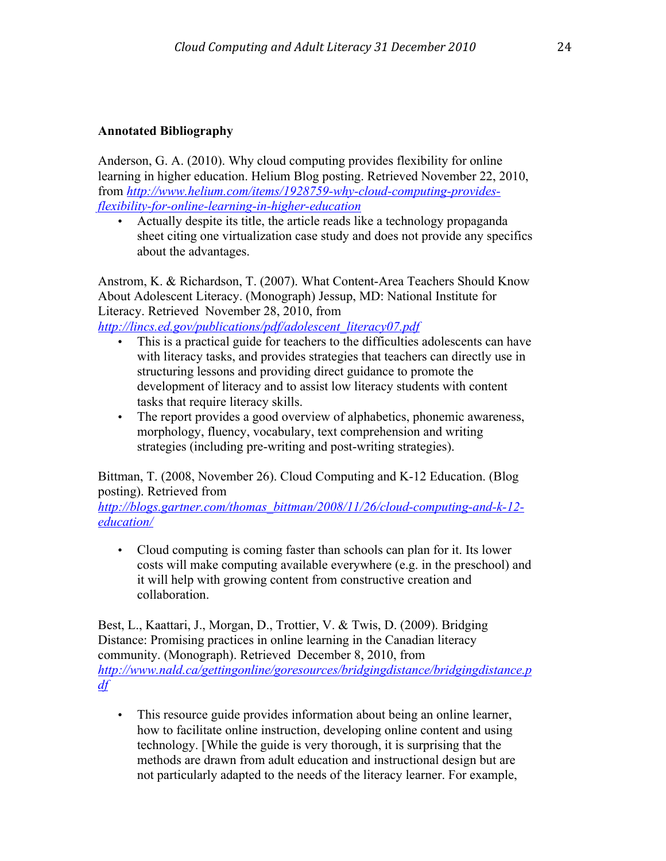# **Annotated Bibliography**

Anderson, G. A. (2010). Why cloud computing provides flexibility for online learning in higher education. Helium Blog posting. Retrieved November 22, 2010, from *http://www.helium.com/items/1928759-why-cloud-computing-providesflexibility-for-online-learning-in-higher-education*

• Actually despite its title, the article reads like a technology propaganda sheet citing one virtualization case study and does not provide any specifics about the advantages.

Anstrom, K. & Richardson, T. (2007). What Content-Area Teachers Should Know About Adolescent Literacy. (Monograph) Jessup, MD: National Institute for Literacy. Retrieved November 28, 2010, from

*http://lincs.ed.gov/publications/pdf/adolescent\_literacy07.pdf*

- This is a practical guide for teachers to the difficulties adolescents can have with literacy tasks, and provides strategies that teachers can directly use in structuring lessons and providing direct guidance to promote the development of literacy and to assist low literacy students with content tasks that require literacy skills.
- The report provides a good overview of alphabetics, phonemic awareness, morphology, fluency, vocabulary, text comprehension and writing strategies (including pre-writing and post-writing strategies).

Bittman, T. (2008, November 26). Cloud Computing and K-12 Education. (Blog posting). Retrieved from

*http://blogs.gartner.com/thomas\_bittman/2008/11/26/cloud-computing-and-k-12 education/*

• Cloud computing is coming faster than schools can plan for it. Its lower costs will make computing available everywhere (e.g. in the preschool) and it will help with growing content from constructive creation and collaboration.

Best, L., Kaattari, J., Morgan, D., Trottier, V. & Twis, D. (2009). Bridging Distance: Promising practices in online learning in the Canadian literacy community. (Monograph). Retrieved December 8, 2010, from *http://www.nald.ca/gettingonline/goresources/bridgingdistance/bridgingdistance.p df*

• This resource guide provides information about being an online learner, how to facilitate online instruction, developing online content and using technology. [While the guide is very thorough, it is surprising that the methods are drawn from adult education and instructional design but are not particularly adapted to the needs of the literacy learner. For example,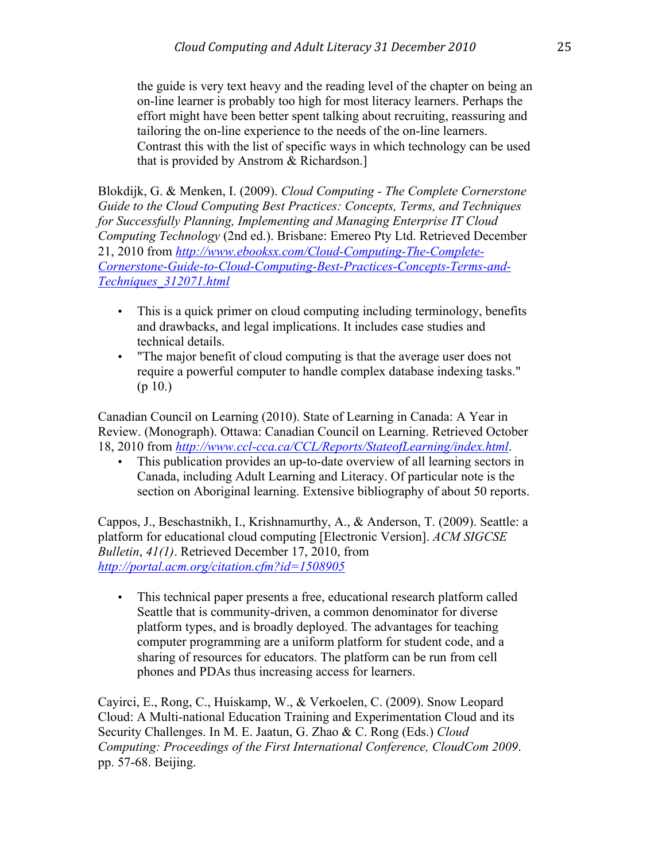the guide is very text heavy and the reading level of the chapter on being an on-line learner is probably too high for most literacy learners. Perhaps the effort might have been better spent talking about recruiting, reassuring and tailoring the on-line experience to the needs of the on-line learners. Contrast this with the list of specific ways in which technology can be used that is provided by Anstrom & Richardson.]

Blokdijk, G. & Menken, I. (2009). *Cloud Computing - The Complete Cornerstone Guide to the Cloud Computing Best Practices: Concepts, Terms, and Techniques for Successfully Planning, Implementing and Managing Enterprise IT Cloud Computing Technology* (2nd ed.). Brisbane: Emereo Pty Ltd. Retrieved December 21, 2010 from *http://www.ebooksx.com/Cloud-Computing-The-Complete-Cornerstone-Guide-to-Cloud-Computing-Best-Practices-Concepts-Terms-and-Techniques\_312071.html*

- This is a quick primer on cloud computing including terminology, benefits and drawbacks, and legal implications. It includes case studies and technical details.
- "The major benefit of cloud computing is that the average user does not require a powerful computer to handle complex database indexing tasks." (p 10.)

Canadian Council on Learning (2010). State of Learning in Canada: A Year in Review. (Monograph). Ottawa: Canadian Council on Learning. Retrieved October 18, 2010 from *http://www.ccl-cca.ca/CCL/Reports/StateofLearning/index.html*.

• This publication provides an up-to-date overview of all learning sectors in Canada, including Adult Learning and Literacy. Of particular note is the section on Aboriginal learning. Extensive bibliography of about 50 reports.

Cappos, J., Beschastnikh, I., Krishnamurthy, A., & Anderson, T. (2009). Seattle: a platform for educational cloud computing [Electronic Version]. *ACM SIGCSE Bulletin*, *41(1)*. Retrieved December 17, 2010, from *http://portal.acm.org/citation.cfm?id=1508905*

• This technical paper presents a free, educational research platform called Seattle that is community-driven, a common denominator for diverse platform types, and is broadly deployed. The advantages for teaching computer programming are a uniform platform for student code, and a sharing of resources for educators. The platform can be run from cell phones and PDAs thus increasing access for learners.

Cayirci, E., Rong, C., Huiskamp, W., & Verkoelen, C. (2009). Snow Leopard Cloud: A Multi-national Education Training and Experimentation Cloud and its Security Challenges. In M. E. Jaatun, G. Zhao & C. Rong (Eds.) *Cloud Computing: Proceedings of the First International Conference, CloudCom 2009*. pp. 57-68. Beijing.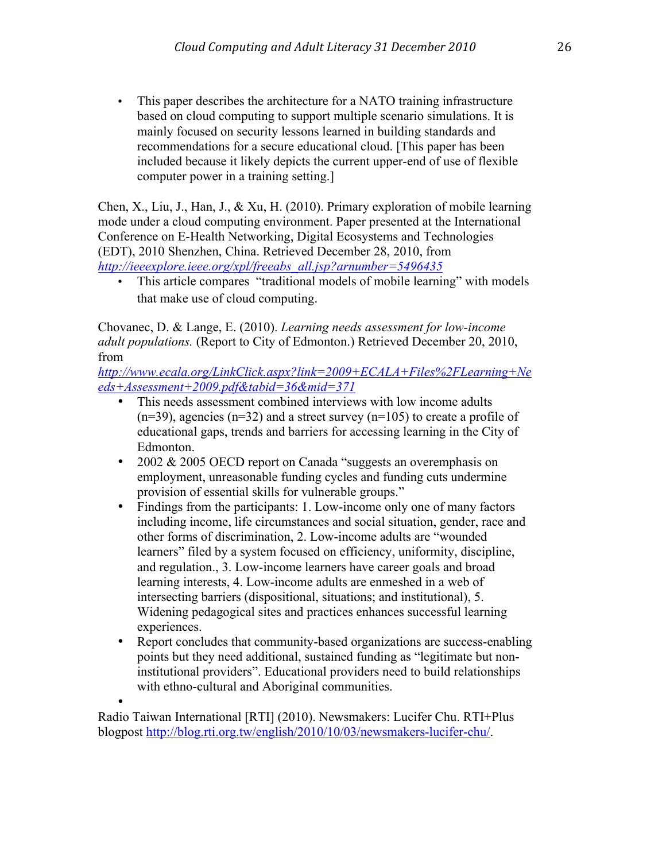• This paper describes the architecture for a NATO training infrastructure based on cloud computing to support multiple scenario simulations. It is mainly focused on security lessons learned in building standards and recommendations for a secure educational cloud. [This paper has been included because it likely depicts the current upper-end of use of flexible computer power in a training setting.]

Chen, X., Liu, J., Han, J., & Xu, H. (2010). Primary exploration of mobile learning mode under a cloud computing environment. Paper presented at the International Conference on E-Health Networking, Digital Ecosystems and Technologies (EDT), 2010 Shenzhen, China. Retrieved December 28, 2010, from *http://ieeexplore.ieee.org/xpl/freeabs\_all.jsp?arnumber=5496435*

• This article compares "traditional models of mobile learning" with models that make use of cloud computing.

Chovanec, D. & Lange, E. (2010). *Learning needs assessment for low-income adult populations.* (Report to City of Edmonton.) Retrieved December 20, 2010, from

*http://www.ecala.org/LinkClick.aspx?link=2009+ECALA+Files%2FLearning+Ne eds+Assessment+2009.pdf&tabid=36&mid=371*

- This needs assessment combined interviews with low income adults  $(n=39)$ , agencies  $(n=32)$  and a street survey  $(n=105)$  to create a profile of educational gaps, trends and barriers for accessing learning in the City of Edmonton.
- 2002 & 2005 OECD report on Canada "suggests an overemphasis on employment, unreasonable funding cycles and funding cuts undermine provision of essential skills for vulnerable groups."
- Findings from the participants: 1. Low-income only one of many factors including income, life circumstances and social situation, gender, race and other forms of discrimination, 2. Low-income adults are "wounded learners" filed by a system focused on efficiency, uniformity, discipline, and regulation., 3. Low-income learners have career goals and broad learning interests, 4. Low-income adults are enmeshed in a web of intersecting barriers (dispositional, situations; and institutional), 5. Widening pedagogical sites and practices enhances successful learning experiences.
- Report concludes that community-based organizations are success-enabling points but they need additional, sustained funding as "legitimate but noninstitutional providers". Educational providers need to build relationships with ethno-cultural and Aboriginal communities.

• Radio Taiwan International [RTI] (2010). Newsmakers: Lucifer Chu. RTI+Plus blogpost http://blog.rti.org.tw/english/2010/10/03/newsmakers-lucifer-chu/.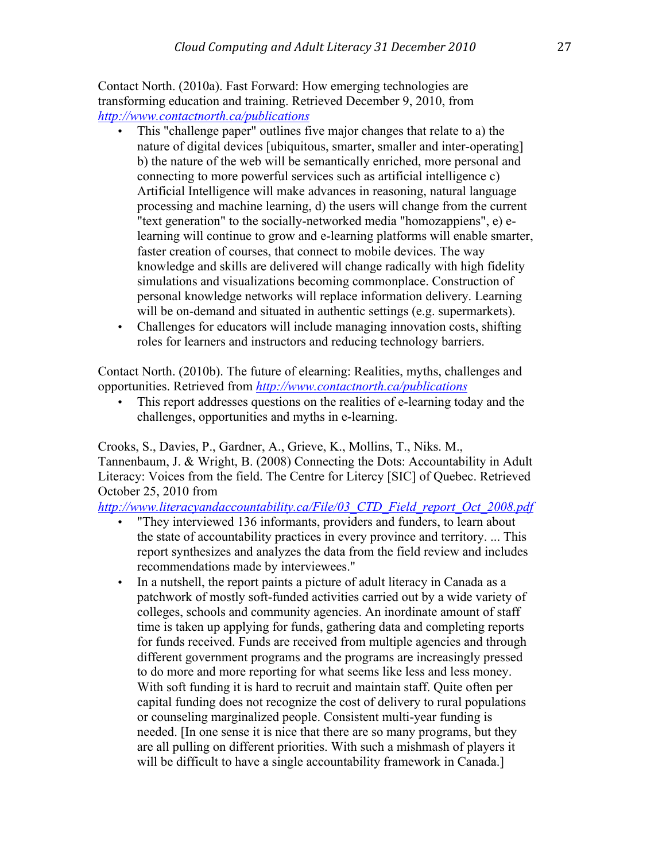Contact North. (2010a). Fast Forward: How emerging technologies are transforming education and training. Retrieved December 9, 2010, from *http://www.contactnorth.ca/publications*

- This "challenge paper" outlines five major changes that relate to a) the nature of digital devices [ubiquitous, smarter, smaller and inter-operating] b) the nature of the web will be semantically enriched, more personal and connecting to more powerful services such as artificial intelligence c) Artificial Intelligence will make advances in reasoning, natural language processing and machine learning, d) the users will change from the current "text generation" to the socially-networked media "homozappiens", e) elearning will continue to grow and e-learning platforms will enable smarter, faster creation of courses, that connect to mobile devices. The way knowledge and skills are delivered will change radically with high fidelity simulations and visualizations becoming commonplace. Construction of personal knowledge networks will replace information delivery. Learning will be on-demand and situated in authentic settings (e.g. supermarkets).
- Challenges for educators will include managing innovation costs, shifting roles for learners and instructors and reducing technology barriers.

Contact North. (2010b). The future of elearning: Realities, myths, challenges and opportunities. Retrieved from *http://www.contactnorth.ca/publications*

• This report addresses questions on the realities of e-learning today and the challenges, opportunities and myths in e-learning.

Crooks, S., Davies, P., Gardner, A., Grieve, K., Mollins, T., Niks. M., Tannenbaum, J. & Wright, B. (2008) Connecting the Dots: Accountability in Adult Literacy: Voices from the field. The Centre for Litercy [SIC] of Quebec. Retrieved October 25, 2010 from

*http://www.literacyandaccountability.ca/File/03\_CTD\_Field\_report\_Oct\_2008.pdf*

- "They interviewed 136 informants, providers and funders, to learn about the state of accountability practices in every province and territory. ... This report synthesizes and analyzes the data from the field review and includes recommendations made by interviewees."
- In a nutshell, the report paints a picture of adult literacy in Canada as a patchwork of mostly soft-funded activities carried out by a wide variety of colleges, schools and community agencies. An inordinate amount of staff time is taken up applying for funds, gathering data and completing reports for funds received. Funds are received from multiple agencies and through different government programs and the programs are increasingly pressed to do more and more reporting for what seems like less and less money. With soft funding it is hard to recruit and maintain staff. Quite often per capital funding does not recognize the cost of delivery to rural populations or counseling marginalized people. Consistent multi-year funding is needed. [In one sense it is nice that there are so many programs, but they are all pulling on different priorities. With such a mishmash of players it will be difficult to have a single accountability framework in Canada.]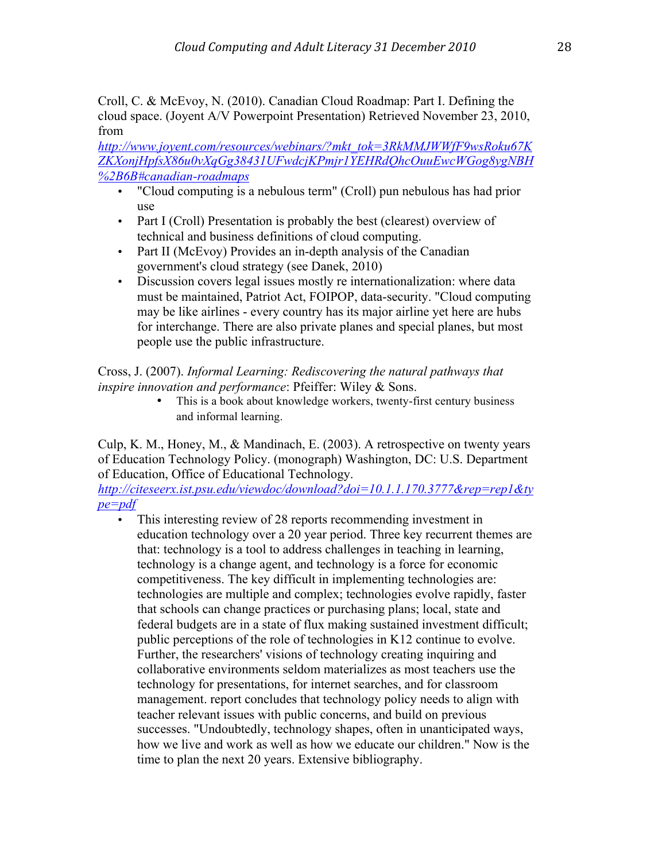Croll, C. & McEvoy, N. (2010). Canadian Cloud Roadmap: Part I. Defining the cloud space. (Joyent A/V Powerpoint Presentation) Retrieved November 23, 2010, from

*http://www.joyent.com/resources/webinars/?mkt\_tok=3RkMMJWWfF9wsRoku67K ZKXonjHpfsX86u0vXqGg38431UFwdcjKPmjr1YEHRdQhcOuuEwcWGog8ygNBH %2B6B#canadian-roadmaps*

- "Cloud computing is a nebulous term" (Croll) pun nebulous has had prior use
- Part I (Croll) Presentation is probably the best (clearest) overview of technical and business definitions of cloud computing.
- Part II (McEvoy) Provides an in-depth analysis of the Canadian government's cloud strategy (see Danek, 2010)
- Discussion covers legal issues mostly re internationalization: where data must be maintained, Patriot Act, FOIPOP, data-security. "Cloud computing may be like airlines - every country has its major airline yet here are hubs for interchange. There are also private planes and special planes, but most people use the public infrastructure.

Cross, J. (2007). *Informal Learning: Rediscovering the natural pathways that inspire innovation and performance*: Pfeiffer: Wiley & Sons.

This is a book about knowledge workers, twenty-first century business and informal learning.

Culp, K. M., Honey, M., & Mandinach, E. (2003). A retrospective on twenty years of Education Technology Policy. (monograph) Washington, DC: U.S. Department of Education, Office of Educational Technology.

*http://citeseerx.ist.psu.edu/viewdoc/download?doi=10.1.1.170.3777&rep=rep1&ty pe=pdf*

• This interesting review of 28 reports recommending investment in education technology over a 20 year period. Three key recurrent themes are that: technology is a tool to address challenges in teaching in learning, technology is a change agent, and technology is a force for economic competitiveness. The key difficult in implementing technologies are: technologies are multiple and complex; technologies evolve rapidly, faster that schools can change practices or purchasing plans; local, state and federal budgets are in a state of flux making sustained investment difficult; public perceptions of the role of technologies in K12 continue to evolve. Further, the researchers' visions of technology creating inquiring and collaborative environments seldom materializes as most teachers use the technology for presentations, for internet searches, and for classroom management. report concludes that technology policy needs to align with teacher relevant issues with public concerns, and build on previous successes. "Undoubtedly, technology shapes, often in unanticipated ways, how we live and work as well as how we educate our children." Now is the time to plan the next 20 years. Extensive bibliography.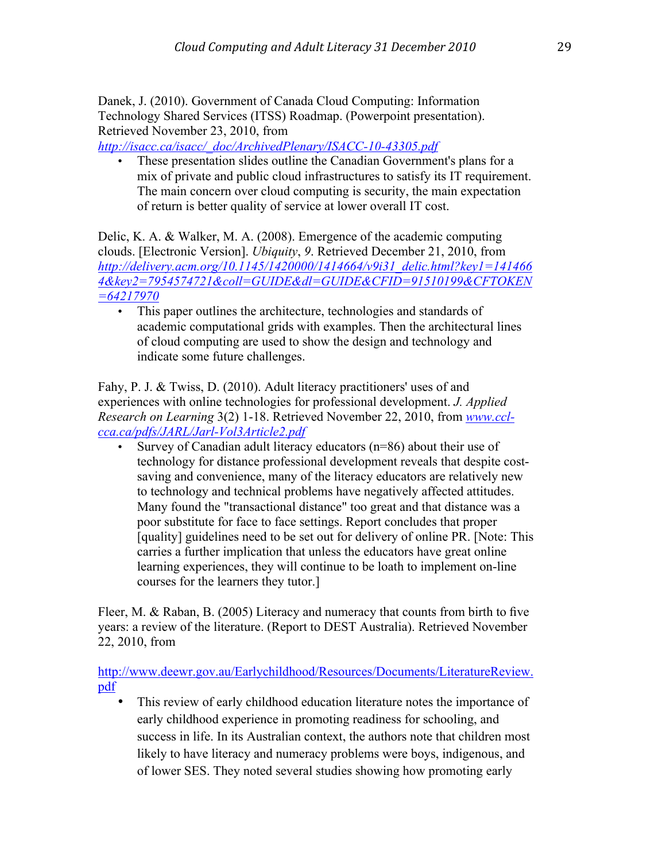Danek, J. (2010). Government of Canada Cloud Computing: Information Technology Shared Services (ITSS) Roadmap. (Powerpoint presentation). Retrieved November 23, 2010, from

*http://isacc.ca/isacc/\_doc/ArchivedPlenary/ISACC-10-43305.pdf*

• These presentation slides outline the Canadian Government's plans for a mix of private and public cloud infrastructures to satisfy its IT requirement. The main concern over cloud computing is security, the main expectation of return is better quality of service at lower overall IT cost.

Delic, K. A. & Walker, M. A. (2008). Emergence of the academic computing clouds. [Electronic Version]. *Ubiquity*, *9*. Retrieved December 21, 2010, from *http://delivery.acm.org/10.1145/1420000/1414664/v9i31\_delic.html?key1=141466 4&key2=7954574721&coll=GUIDE&dl=GUIDE&CFID=91510199&CFTOKEN =64217970*

• This paper outlines the architecture, technologies and standards of academic computational grids with examples. Then the architectural lines of cloud computing are used to show the design and technology and indicate some future challenges.

Fahy, P. J. & Twiss, D. (2010). Adult literacy practitioners' uses of and experiences with online technologies for professional development. *J. Applied Research on Learning* 3(2) 1-18. Retrieved November 22, 2010, from *www.cclcca.ca/pdfs/JARL/Jarl-Vol3Article2.pdf*

• Survey of Canadian adult literacy educators (n=86) about their use of technology for distance professional development reveals that despite costsaving and convenience, many of the literacy educators are relatively new to technology and technical problems have negatively affected attitudes. Many found the "transactional distance" too great and that distance was a poor substitute for face to face settings. Report concludes that proper [quality] guidelines need to be set out for delivery of online PR. [Note: This carries a further implication that unless the educators have great online learning experiences, they will continue to be loath to implement on-line courses for the learners they tutor.]

Fleer, M. & Raban, B. (2005) Literacy and numeracy that counts from birth to five years: a review of the literature. (Report to DEST Australia). Retrieved November 22, 2010, from

http://www.deewr.gov.au/Earlychildhood/Resources/Documents/LiteratureReview. pdf

This review of early childhood education literature notes the importance of early childhood experience in promoting readiness for schooling, and success in life. In its Australian context, the authors note that children most likely to have literacy and numeracy problems were boys, indigenous, and of lower SES. They noted several studies showing how promoting early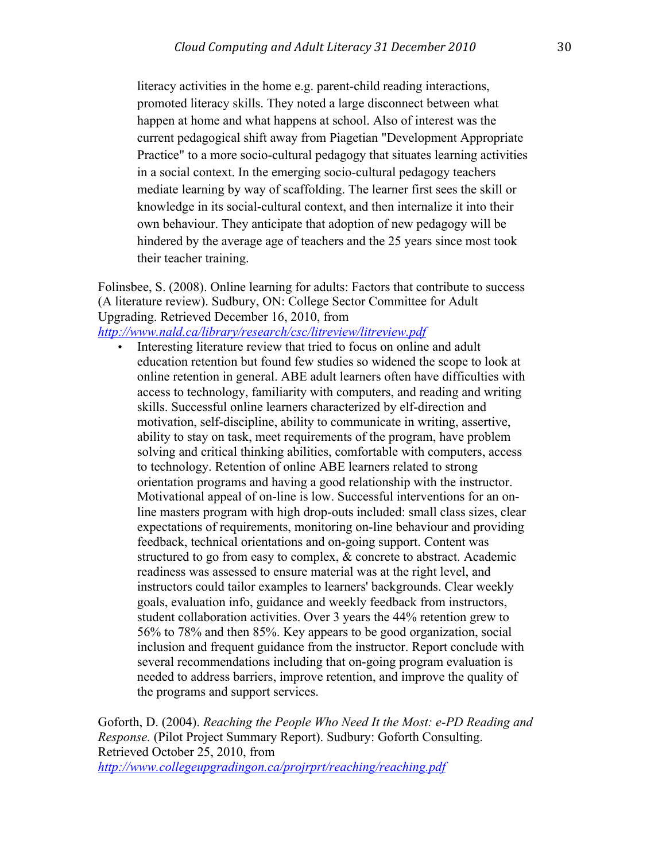literacy activities in the home e.g. parent-child reading interactions, promoted literacy skills. They noted a large disconnect between what happen at home and what happens at school. Also of interest was the current pedagogical shift away from Piagetian "Development Appropriate Practice" to a more socio-cultural pedagogy that situates learning activities in a social context. In the emerging socio-cultural pedagogy teachers mediate learning by way of scaffolding. The learner first sees the skill or knowledge in its social-cultural context, and then internalize it into their own behaviour. They anticipate that adoption of new pedagogy will be hindered by the average age of teachers and the 25 years since most took their teacher training.

Folinsbee, S. (2008). Online learning for adults: Factors that contribute to success (A literature review). Sudbury, ON: College Sector Committee for Adult Upgrading. Retrieved December 16, 2010, from

*http://www.nald.ca/library/research/csc/litreview/litreview.pdf*

• Interesting literature review that tried to focus on online and adult education retention but found few studies so widened the scope to look at online retention in general. ABE adult learners often have difficulties with access to technology, familiarity with computers, and reading and writing skills. Successful online learners characterized by elf-direction and motivation, self-discipline, ability to communicate in writing, assertive, ability to stay on task, meet requirements of the program, have problem solving and critical thinking abilities, comfortable with computers, access to technology. Retention of online ABE learners related to strong orientation programs and having a good relationship with the instructor. Motivational appeal of on-line is low. Successful interventions for an online masters program with high drop-outs included: small class sizes, clear expectations of requirements, monitoring on-line behaviour and providing feedback, technical orientations and on-going support. Content was structured to go from easy to complex, & concrete to abstract. Academic readiness was assessed to ensure material was at the right level, and instructors could tailor examples to learners' backgrounds. Clear weekly goals, evaluation info, guidance and weekly feedback from instructors, student collaboration activities. Over 3 years the 44% retention grew to 56% to 78% and then 85%. Key appears to be good organization, social inclusion and frequent guidance from the instructor. Report conclude with several recommendations including that on-going program evaluation is needed to address barriers, improve retention, and improve the quality of the programs and support services.

Goforth, D. (2004). *Reaching the People Who Need It the Most: e-PD Reading and Response.* (Pilot Project Summary Report). Sudbury: Goforth Consulting. Retrieved October 25, 2010, from

*http://www.collegeupgradingon.ca/projrprt/reaching/reaching.pdf*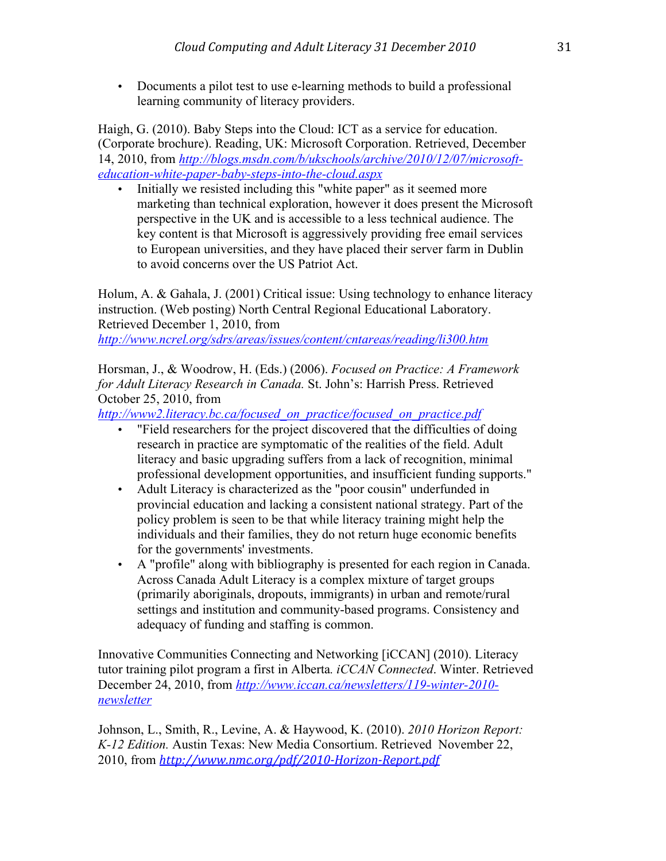• Documents a pilot test to use e-learning methods to build a professional learning community of literacy providers.

Haigh, G. (2010). Baby Steps into the Cloud: ICT as a service for education. (Corporate brochure). Reading, UK: Microsoft Corporation. Retrieved, December 14, 2010, from *http://blogs.msdn.com/b/ukschools/archive/2010/12/07/microsofteducation-white-paper-baby-steps-into-the-cloud.aspx*

• Initially we resisted including this "white paper" as it seemed more marketing than technical exploration, however it does present the Microsoft perspective in the UK and is accessible to a less technical audience. The key content is that Microsoft is aggressively providing free email services to European universities, and they have placed their server farm in Dublin to avoid concerns over the US Patriot Act.

Holum, A. & Gahala, J. (2001) Critical issue: Using technology to enhance literacy instruction. (Web posting) North Central Regional Educational Laboratory. Retrieved December 1, 2010, from *http://www.ncrel.org/sdrs/areas/issues/content/cntareas/reading/li300.htm*

Horsman, J., & Woodrow, H. (Eds.) (2006). *Focused on Practice: A Framework for Adult Literacy Research in Canada.* St. John's: Harrish Press. Retrieved October 25, 2010, from

*http://www2.literacy.bc.ca/focused\_on\_practice/focused\_on\_practice.pdf* 

- "Field researchers for the project discovered that the difficulties of doing research in practice are symptomatic of the realities of the field. Adult literacy and basic upgrading suffers from a lack of recognition, minimal professional development opportunities, and insufficient funding supports."
- Adult Literacy is characterized as the "poor cousin" underfunded in provincial education and lacking a consistent national strategy. Part of the policy problem is seen to be that while literacy training might help the individuals and their families, they do not return huge economic benefits for the governments' investments.
- A "profile" along with bibliography is presented for each region in Canada. Across Canada Adult Literacy is a complex mixture of target groups (primarily aboriginals, dropouts, immigrants) in urban and remote/rural settings and institution and community-based programs. Consistency and adequacy of funding and staffing is common.

Innovative Communities Connecting and Networking [iCCAN] (2010). Literacy tutor training pilot program a first in Alberta*. iCCAN Connected*. Winter. Retrieved December 24, 2010, from *http://www.iccan.ca/newsletters/119-winter-2010 newsletter*

Johnson, L., Smith, R., Levine, A. & Haywood, K. (2010). *2010 Horizon Report: K-12 Edition.* Austin Texas: New Media Consortium. Retrieved November 22, 2010, from http://www.nmc.org/pdf/2010-Horizon-Report.pdf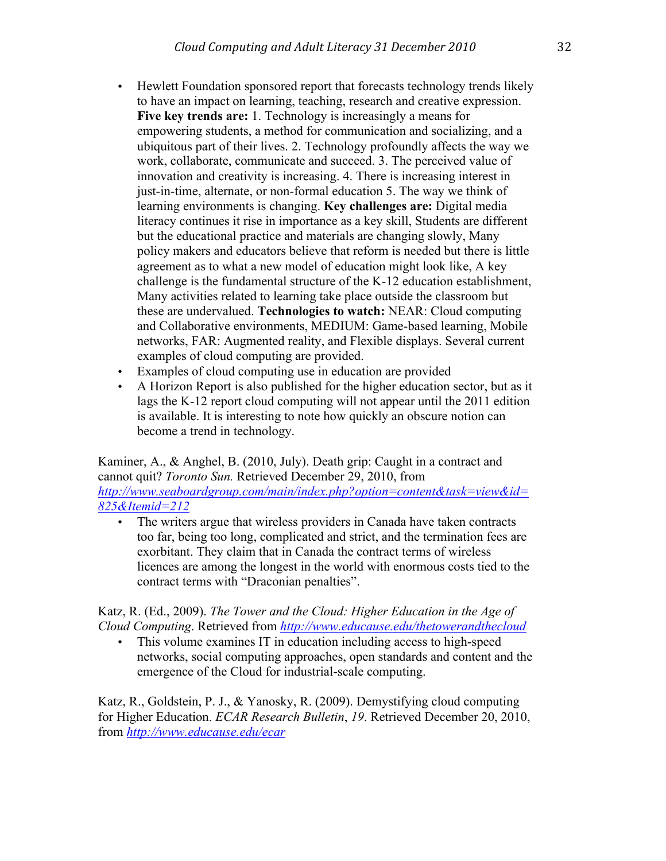- Hewlett Foundation sponsored report that forecasts technology trends likely to have an impact on learning, teaching, research and creative expression. **Five key trends are:** 1. Technology is increasingly a means for empowering students, a method for communication and socializing, and a ubiquitous part of their lives. 2. Technology profoundly affects the way we work, collaborate, communicate and succeed. 3. The perceived value of innovation and creativity is increasing. 4. There is increasing interest in just-in-time, alternate, or non-formal education 5. The way we think of learning environments is changing. **Key challenges are:** Digital media literacy continues it rise in importance as a key skill, Students are different but the educational practice and materials are changing slowly, Many policy makers and educators believe that reform is needed but there is little agreement as to what a new model of education might look like, A key challenge is the fundamental structure of the K-12 education establishment, Many activities related to learning take place outside the classroom but these are undervalued. **Technologies to watch:** NEAR: Cloud computing and Collaborative environments, MEDIUM: Game-based learning, Mobile networks, FAR: Augmented reality, and Flexible displays. Several current examples of cloud computing are provided.
- Examples of cloud computing use in education are provided
- A Horizon Report is also published for the higher education sector, but as it lags the K-12 report cloud computing will not appear until the 2011 edition is available. It is interesting to note how quickly an obscure notion can become a trend in technology.

Kaminer, A., & Anghel, B. (2010, July). Death grip: Caught in a contract and cannot quit? *Toronto Sun.* Retrieved December 29, 2010, from *http://www.seaboardgroup.com/main/index.php?option=content&task=view&id= 825&Itemid=212*

• The writers argue that wireless providers in Canada have taken contracts too far, being too long, complicated and strict, and the termination fees are exorbitant. They claim that in Canada the contract terms of wireless licences are among the longest in the world with enormous costs tied to the contract terms with "Draconian penalties".

## Katz, R. (Ed., 2009). *The Tower and the Cloud: Higher Education in the Age of Cloud Computing*. Retrieved from *http://www.educause.edu/thetowerandthecloud*

This volume examines IT in education including access to high-speed networks, social computing approaches, open standards and content and the emergence of the Cloud for industrial-scale computing.

Katz, R., Goldstein, P. J., & Yanosky, R. (2009). Demystifying cloud computing for Higher Education. *ECAR Research Bulletin*, *19*. Retrieved December 20, 2010, from *http://www.educause.edu/ecar*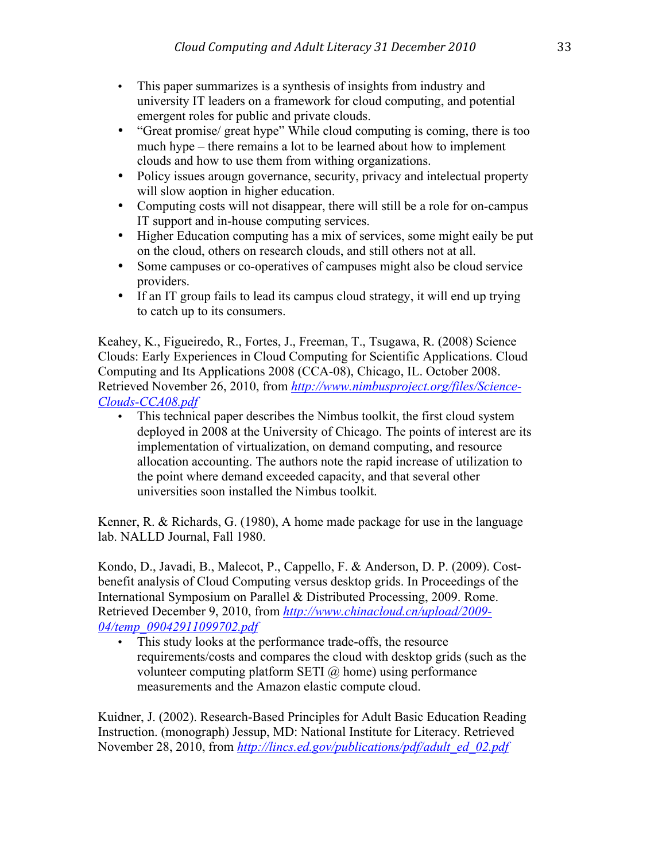- This paper summarizes is a synthesis of insights from industry and university IT leaders on a framework for cloud computing, and potential emergent roles for public and private clouds.
- "Great promise/ great hype" While cloud computing is coming, there is too much hype – there remains a lot to be learned about how to implement clouds and how to use them from withing organizations.
- Policy issues arougn governance, security, privacy and intelectual property will slow aoption in higher education.
- Computing costs will not disappear, there will still be a role for on-campus IT support and in-house computing services.
- Higher Education computing has a mix of services, some might eaily be put on the cloud, others on research clouds, and still others not at all.
- Some campuses or co-operatives of campuses might also be cloud service providers.
- If an IT group fails to lead its campus cloud strategy, it will end up trying to catch up to its consumers.

Keahey, K., Figueiredo, R., Fortes, J., Freeman, T., Tsugawa, R. (2008) Science Clouds: Early Experiences in Cloud Computing for Scientific Applications. Cloud Computing and Its Applications 2008 (CCA-08), Chicago, IL. October 2008. Retrieved November 26, 2010, from *http://www.nimbusproject.org/files/Science-Clouds-CCA08.pdf*

• This technical paper describes the Nimbus toolkit, the first cloud system deployed in 2008 at the University of Chicago. The points of interest are its implementation of virtualization, on demand computing, and resource allocation accounting. The authors note the rapid increase of utilization to the point where demand exceeded capacity, and that several other universities soon installed the Nimbus toolkit.

Kenner, R. & Richards, G. (1980), A home made package for use in the language lab. NALLD Journal, Fall 1980.

Kondo, D., Javadi, B., Malecot, P., Cappello, F. & Anderson, D. P. (2009). Costbenefit analysis of Cloud Computing versus desktop grids. In Proceedings of the International Symposium on Parallel & Distributed Processing, 2009. Rome. Retrieved December 9, 2010, from *http://www.chinacloud.cn/upload/2009- 04/temp\_09042911099702.pdf*

• This study looks at the performance trade-offs, the resource requirements/costs and compares the cloud with desktop grids (such as the volunteer computing platform SETI  $\omega$  home) using performance measurements and the Amazon elastic compute cloud.

Kuidner, J. (2002). Research-Based Principles for Adult Basic Education Reading Instruction. (monograph) Jessup, MD: National Institute for Literacy. Retrieved November 28, 2010, from *http://lincs.ed.gov/publications/pdf/adult\_ed\_02.pdf*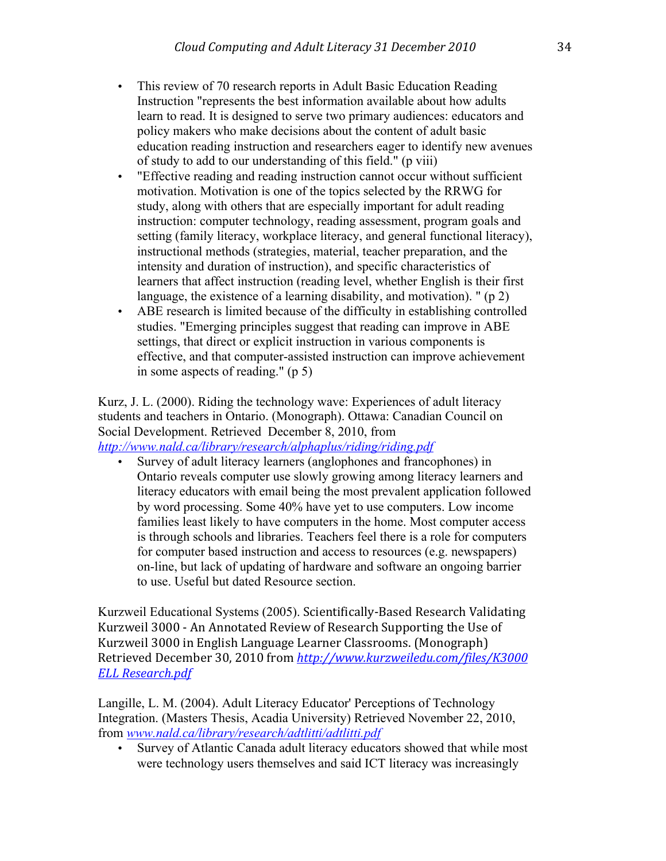- This review of 70 research reports in Adult Basic Education Reading Instruction "represents the best information available about how adults learn to read. It is designed to serve two primary audiences: educators and policy makers who make decisions about the content of adult basic education reading instruction and researchers eager to identify new avenues of study to add to our understanding of this field." (p viii)
- "Effective reading and reading instruction cannot occur without sufficient motivation. Motivation is one of the topics selected by the RRWG for study, along with others that are especially important for adult reading instruction: computer technology, reading assessment, program goals and setting (family literacy, workplace literacy, and general functional literacy), instructional methods (strategies, material, teacher preparation, and the intensity and duration of instruction), and specific characteristics of learners that affect instruction (reading level, whether English is their first language, the existence of a learning disability, and motivation). " (p 2)
- ABE research is limited because of the difficulty in establishing controlled studies. "Emerging principles suggest that reading can improve in ABE settings, that direct or explicit instruction in various components is effective, and that computer-assisted instruction can improve achievement in some aspects of reading." (p 5)

Kurz, J. L. (2000). Riding the technology wave: Experiences of adult literacy students and teachers in Ontario. (Monograph). Ottawa: Canadian Council on Social Development. Retrieved December 8, 2010, from *http://www.nald.ca/library/research/alphaplus/riding/riding.pdf*

• Survey of adult literacy learners (anglophones and francophones) in Ontario reveals computer use slowly growing among literacy learners and literacy educators with email being the most prevalent application followed by word processing. Some 40% have yet to use computers. Low income families least likely to have computers in the home. Most computer access is through schools and libraries. Teachers feel there is a role for computers for computer based instruction and access to resources (e.g. newspapers) on-line, but lack of updating of hardware and software an ongoing barrier to use. Useful but dated Resource section.

Kurzweil Educational Systems (2005). Scientifically-Based Research Validating Kurzweil 3000 - An Annotated Review of Research Supporting the Use of Kurzweil 3000 in English Language Learner Classrooms. (Monograph) Retrieved December 30, 2010 from http://www.kurzweiledu.com/files/K3000 *ELL&Research.pdf*

Langille, L. M. (2004). Adult Literacy Educator' Perceptions of Technology Integration. (Masters Thesis, Acadia University) Retrieved November 22, 2010, from *www.nald.ca/library/research/adtlitti/adtlitti.pdf*

• Survey of Atlantic Canada adult literacy educators showed that while most were technology users themselves and said ICT literacy was increasingly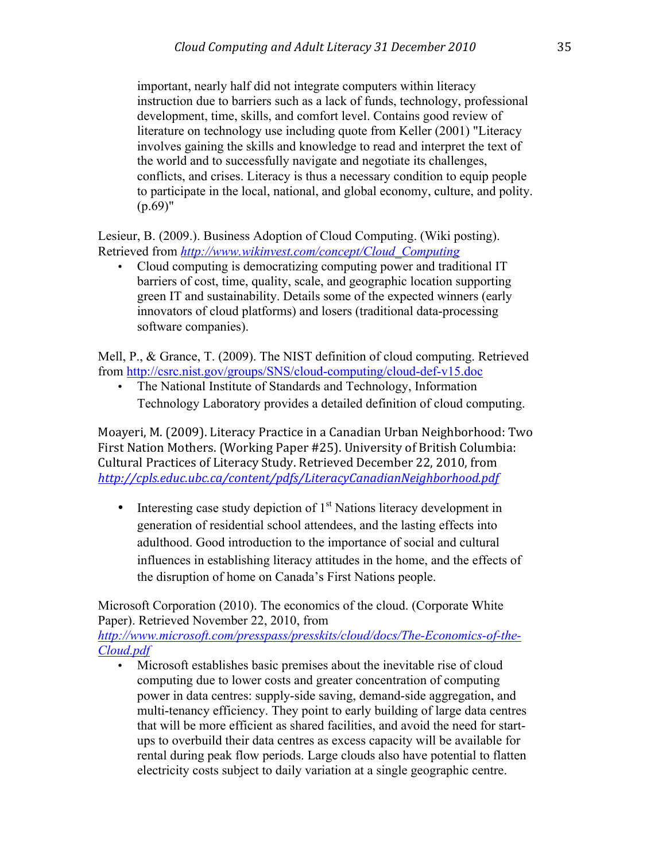important, nearly half did not integrate computers within literacy instruction due to barriers such as a lack of funds, technology, professional development, time, skills, and comfort level. Contains good review of literature on technology use including quote from Keller (2001) "Literacy involves gaining the skills and knowledge to read and interpret the text of the world and to successfully navigate and negotiate its challenges, conflicts, and crises. Literacy is thus a necessary condition to equip people to participate in the local, national, and global economy, culture, and polity.  $(p.69)$ "

Lesieur, B. (2009.). Business Adoption of Cloud Computing. (Wiki posting). Retrieved from *http://www.wikinvest.com/concept/Cloud\_Computing*

• Cloud computing is democratizing computing power and traditional IT barriers of cost, time, quality, scale, and geographic location supporting green IT and sustainability. Details some of the expected winners (early innovators of cloud platforms) and losers (traditional data-processing software companies).

Mell, P., & Grance, T. (2009). The NIST definition of cloud computing. Retrieved from http://csrc.nist.gov/groups/SNS/cloud-computing/cloud-def-v15.doc

• The National Institute of Standards and Technology, Information Technology Laboratory provides a detailed definition of cloud computing.

Moayeri, M. (2009). Literacy Practice in a Canadian Urban Neighborhood: Two First Nation Mothers. (Working Paper #25). University of British Columbia: Cultural Practices of Literacy Study. Retrieved December 22, 2010, from *http://cpls.educ.ubc.ca/content/pdfs/LiteracyCanadianNeighborhood.pdf*

• Interesting case study depiction of  $1<sup>st</sup>$  Nations literacy development in generation of residential school attendees, and the lasting effects into adulthood. Good introduction to the importance of social and cultural influences in establishing literacy attitudes in the home, and the effects of the disruption of home on Canada's First Nations people.

Microsoft Corporation (2010). The economics of the cloud. (Corporate White Paper). Retrieved November 22, 2010, from

*http://www.microsoft.com/presspass/presskits/cloud/docs/The-Economics-of-the-Cloud.pdf*

• Microsoft establishes basic premises about the inevitable rise of cloud computing due to lower costs and greater concentration of computing power in data centres: supply-side saving, demand-side aggregation, and multi-tenancy efficiency. They point to early building of large data centres that will be more efficient as shared facilities, and avoid the need for startups to overbuild their data centres as excess capacity will be available for rental during peak flow periods. Large clouds also have potential to flatten electricity costs subject to daily variation at a single geographic centre.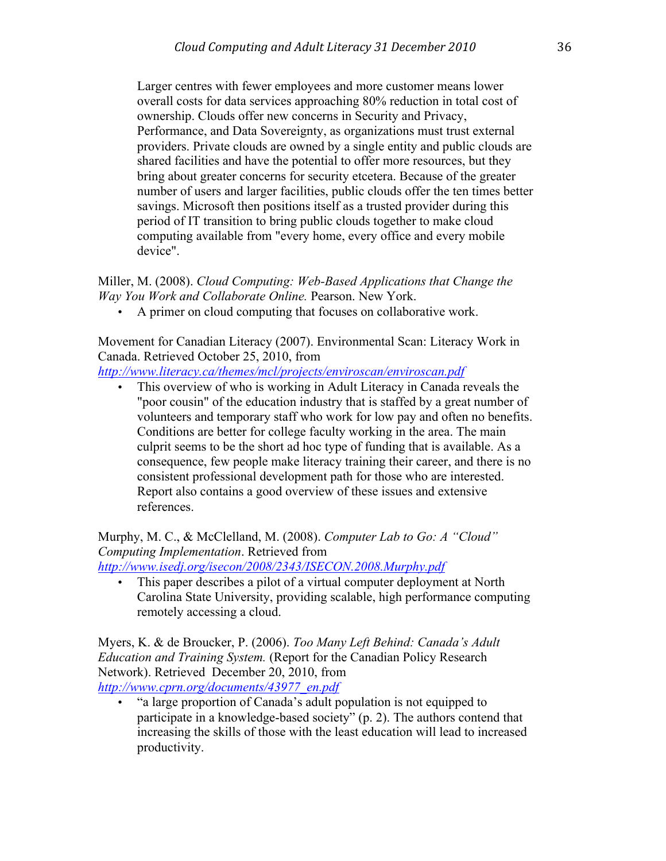Larger centres with fewer employees and more customer means lower overall costs for data services approaching 80% reduction in total cost of ownership. Clouds offer new concerns in Security and Privacy, Performance, and Data Sovereignty, as organizations must trust external providers. Private clouds are owned by a single entity and public clouds are shared facilities and have the potential to offer more resources, but they bring about greater concerns for security etcetera. Because of the greater number of users and larger facilities, public clouds offer the ten times better savings. Microsoft then positions itself as a trusted provider during this period of IT transition to bring public clouds together to make cloud computing available from "every home, every office and every mobile device".

Miller, M. (2008). *Cloud Computing: Web-Based Applications that Change the Way You Work and Collaborate Online.* Pearson. New York.

• A primer on cloud computing that focuses on collaborative work.

Movement for Canadian Literacy (2007). Environmental Scan: Literacy Work in Canada. Retrieved October 25, 2010, from

*http://www.literacy.ca/themes/mcl/projects/enviroscan/enviroscan.pdf*

• This overview of who is working in Adult Literacy in Canada reveals the "poor cousin" of the education industry that is staffed by a great number of volunteers and temporary staff who work for low pay and often no benefits. Conditions are better for college faculty working in the area. The main culprit seems to be the short ad hoc type of funding that is available. As a consequence, few people make literacy training their career, and there is no consistent professional development path for those who are interested. Report also contains a good overview of these issues and extensive references.

Murphy, M. C., & McClelland, M. (2008). *Computer Lab to Go: A "Cloud" Computing Implementation*. Retrieved from

*http://www.isedj.org/isecon/2008/2343/ISECON.2008.Murphy.pdf*

This paper describes a pilot of a virtual computer deployment at North Carolina State University, providing scalable, high performance computing remotely accessing a cloud.

Myers, K. & de Broucker, P. (2006). *Too Many Left Behind: Canada's Adult Education and Training System.* (Report for the Canadian Policy Research Network). Retrieved December 20, 2010, from *http://www.cprn.org/documents/43977\_en.pdf*

• "a large proportion of Canada's adult population is not equipped to participate in a knowledge-based society" (p. 2). The authors contend that increasing the skills of those with the least education will lead to increased productivity.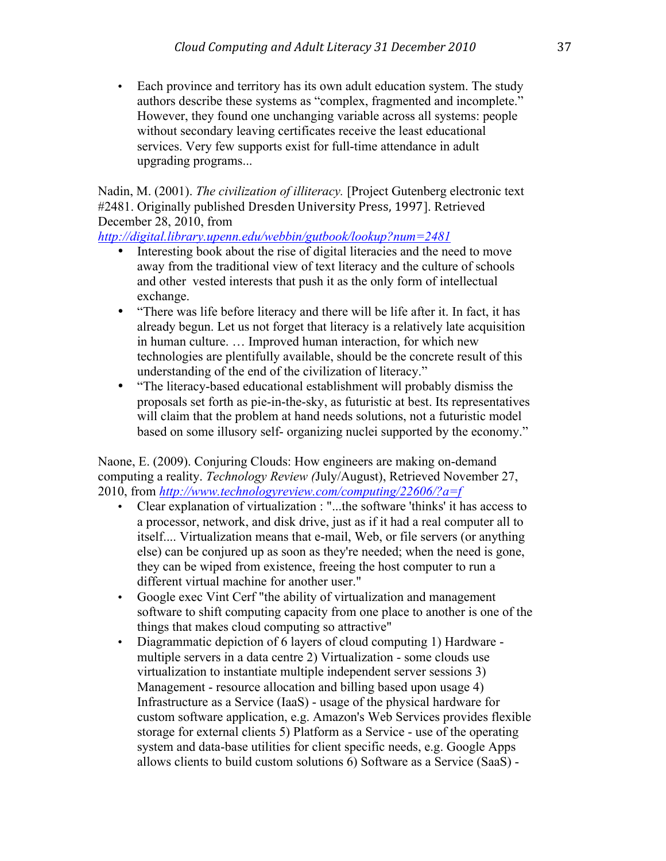• Each province and territory has its own adult education system. The study authors describe these systems as "complex, fragmented and incomplete." However, they found one unchanging variable across all systems: people without secondary leaving certificates receive the least educational services. Very few supports exist for full-time attendance in adult upgrading programs...

Nadin, M. (2001). *The civilization of illiteracy.* [Project Gutenberg electronic text #2481. Originally published Dresden University Press, 1997]. Retrieved December 28, 2010, from

*http://digital.library.upenn.edu/webbin/gutbook/lookup?num=2481*

- Interesting book about the rise of digital literacies and the need to move away from the traditional view of text literacy and the culture of schools and other vested interests that push it as the only form of intellectual exchange.
- "There was life before literacy and there will be life after it. In fact, it has already begun. Let us not forget that literacy is a relatively late acquisition in human culture. … Improved human interaction, for which new technologies are plentifully available, should be the concrete result of this understanding of the end of the civilization of literacy."
- "The literacy-based educational establishment will probably dismiss the proposals set forth as pie-in-the-sky, as futuristic at best. Its representatives will claim that the problem at hand needs solutions, not a futuristic model based on some illusory self- organizing nuclei supported by the economy."

Naone, E. (2009). Conjuring Clouds: How engineers are making on-demand computing a reality. *Technology Review (*July/August), Retrieved November 27, 2010, from *http://www.technologyreview.com/computing/22606/?a=f*

- Clear explanation of virtualization : "...the software 'thinks' it has access to a processor, network, and disk drive, just as if it had a real computer all to itself.... Virtualization means that e-mail, Web, or file servers (or anything else) can be conjured up as soon as they're needed; when the need is gone, they can be wiped from existence, freeing the host computer to run a different virtual machine for another user."
- Google exec Vint Cerf "the ability of virtualization and management software to shift computing capacity from one place to another is one of the things that makes cloud computing so attractive"
- Diagrammatic depiction of 6 layers of cloud computing 1) Hardware multiple servers in a data centre 2) Virtualization - some clouds use virtualization to instantiate multiple independent server sessions 3) Management - resource allocation and billing based upon usage 4) Infrastructure as a Service (IaaS) - usage of the physical hardware for custom software application, e.g. Amazon's Web Services provides flexible storage for external clients 5) Platform as a Service - use of the operating system and data-base utilities for client specific needs, e.g. Google Apps allows clients to build custom solutions 6) Software as a Service (SaaS) -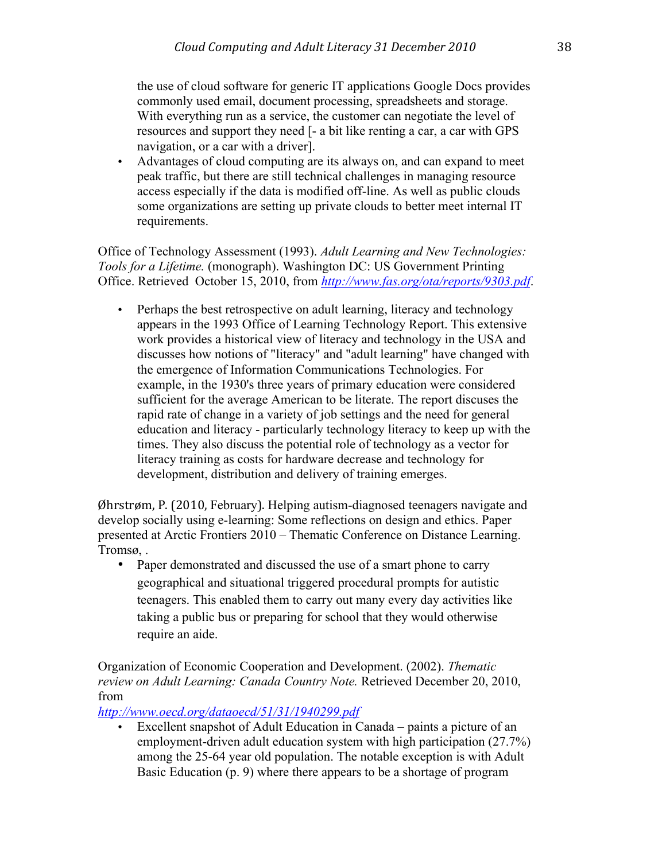the use of cloud software for generic IT applications Google Docs provides commonly used email, document processing, spreadsheets and storage. With everything run as a service, the customer can negotiate the level of resources and support they need [- a bit like renting a car, a car with GPS navigation, or a car with a driver].

• Advantages of cloud computing are its always on, and can expand to meet peak traffic, but there are still technical challenges in managing resource access especially if the data is modified off-line. As well as public clouds some organizations are setting up private clouds to better meet internal IT requirements.

Office of Technology Assessment (1993). *Adult Learning and New Technologies: Tools for a Lifetime.* (monograph). Washington DC: US Government Printing Office. Retrieved October 15, 2010, from *http://www.fas.org/ota/reports/9303.pdf*.

• Perhaps the best retrospective on adult learning, literacy and technology appears in the 1993 Office of Learning Technology Report. This extensive work provides a historical view of literacy and technology in the USA and discusses how notions of "literacy" and "adult learning" have changed with the emergence of Information Communications Technologies. For example, in the 1930's three years of primary education were considered sufficient for the average American to be literate. The report discuses the rapid rate of change in a variety of job settings and the need for general education and literacy - particularly technology literacy to keep up with the times. They also discuss the potential role of technology as a vector for literacy training as costs for hardware decrease and technology for development, distribution and delivery of training emerges.

Øhrstrøm, P. (2010, February). Helping autism-diagnosed teenagers navigate and develop socially using e-learning: Some reflections on design and ethics. Paper presented at Arctic Frontiers 2010 – Thematic Conference on Distance Learning. Tromsø, .

• Paper demonstrated and discussed the use of a smart phone to carry geographical and situational triggered procedural prompts for autistic teenagers. This enabled them to carry out many every day activities like taking a public bus or preparing for school that they would otherwise require an aide.

Organization of Economic Cooperation and Development. (2002). *Thematic review on Adult Learning: Canada Country Note.* Retrieved December 20, 2010, from

*http://www.oecd.org/dataoecd/51/31/1940299.pdf*

• Excellent snapshot of Adult Education in Canada – paints a picture of an employment-driven adult education system with high participation (27.7%) among the 25-64 year old population. The notable exception is with Adult Basic Education (p. 9) where there appears to be a shortage of program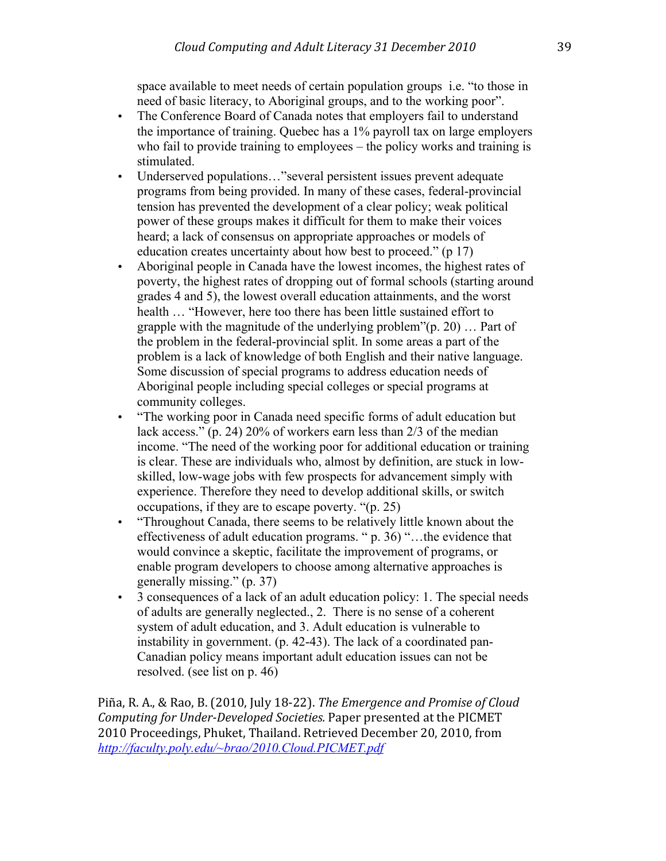space available to meet needs of certain population groups i.e. "to those in need of basic literacy, to Aboriginal groups, and to the working poor".

- The Conference Board of Canada notes that employers fail to understand the importance of training. Quebec has a 1% payroll tax on large employers who fail to provide training to employees – the policy works and training is stimulated.
- Underserved populations..." several persistent issues prevent adequate programs from being provided. In many of these cases, federal-provincial tension has prevented the development of a clear policy; weak political power of these groups makes it difficult for them to make their voices heard; a lack of consensus on appropriate approaches or models of education creates uncertainty about how best to proceed." (p 17)
- Aboriginal people in Canada have the lowest incomes, the highest rates of poverty, the highest rates of dropping out of formal schools (starting around grades 4 and 5), the lowest overall education attainments, and the worst health … "However, here too there has been little sustained effort to grapple with the magnitude of the underlying problem"(p. 20) … Part of the problem in the federal-provincial split. In some areas a part of the problem is a lack of knowledge of both English and their native language. Some discussion of special programs to address education needs of Aboriginal people including special colleges or special programs at community colleges.
- "The working poor in Canada need specific forms of adult education but lack access." (p. 24) 20% of workers earn less than 2/3 of the median income. "The need of the working poor for additional education or training is clear. These are individuals who, almost by definition, are stuck in lowskilled, low-wage jobs with few prospects for advancement simply with experience. Therefore they need to develop additional skills, or switch occupations, if they are to escape poverty. "(p. 25)
- "Throughout Canada, there seems to be relatively little known about the effectiveness of adult education programs. " p. 36) "…the evidence that would convince a skeptic, facilitate the improvement of programs, or enable program developers to choose among alternative approaches is generally missing." (p. 37)
- 3 consequences of a lack of an adult education policy: 1. The special needs of adults are generally neglected., 2. There is no sense of a coherent system of adult education, and 3. Adult education is vulnerable to instability in government. (p. 42-43). The lack of a coordinated pan-Canadian policy means important adult education issues can not be resolved. (see list on p. 46)

Piña, R. A., & Rao, B. (2010, July 18-22). *The Emergence and Promise of Cloud Computing for Under-Developed Societies.* Paper presented at the PICMET 2010 Proceedings, Phuket, Thailand. Retrieved December 20, 2010, from *http://faculty.poly.edu/~brao/2010.Cloud.PICMET.pdf*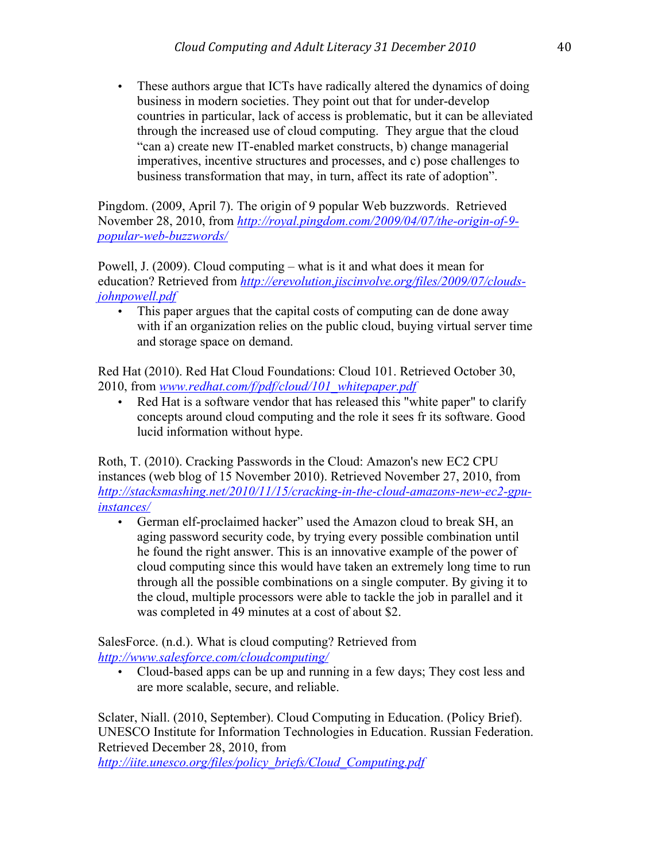• These authors argue that ICTs have radically altered the dynamics of doing business in modern societies. They point out that for under-develop countries in particular, lack of access is problematic, but it can be alleviated through the increased use of cloud computing. They argue that the cloud "can a) create new IT-enabled market constructs, b) change managerial imperatives, incentive structures and processes, and c) pose challenges to business transformation that may, in turn, affect its rate of adoption".

Pingdom. (2009, April 7). The origin of 9 popular Web buzzwords. Retrieved November 28, 2010, from *http://royal.pingdom.com/2009/04/07/the-origin-of-9 popular-web-buzzwords/*

Powell, J. (2009). Cloud computing – what is it and what does it mean for education? Retrieved from *http://erevolution.jiscinvolve.org/files/2009/07/cloudsjohnpowell.pdf*

This paper argues that the capital costs of computing can de done away with if an organization relies on the public cloud, buying virtual server time and storage space on demand.

Red Hat (2010). Red Hat Cloud Foundations: Cloud 101. Retrieved October 30, 2010, from *www.redhat.com/f/pdf/cloud/101\_whitepaper.pdf*

Red Hat is a software vendor that has released this "white paper" to clarify concepts around cloud computing and the role it sees fr its software. Good lucid information without hype.

Roth, T. (2010). Cracking Passwords in the Cloud: Amazon's new EC2 CPU instances (web blog of 15 November 2010). Retrieved November 27, 2010, from *http://stacksmashing.net/2010/11/15/cracking-in-the-cloud-amazons-new-ec2-gpuinstances/*

• German elf-proclaimed hacker" used the Amazon cloud to break SH, an aging password security code, by trying every possible combination until he found the right answer. This is an innovative example of the power of cloud computing since this would have taken an extremely long time to run through all the possible combinations on a single computer. By giving it to the cloud, multiple processors were able to tackle the job in parallel and it was completed in 49 minutes at a cost of about \$2.

SalesForce. (n.d.). What is cloud computing? Retrieved from *http://www.salesforce.com/cloudcomputing/*

• Cloud-based apps can be up and running in a few days; They cost less and are more scalable, secure, and reliable.

Sclater, Niall. (2010, September). Cloud Computing in Education. (Policy Brief). UNESCO Institute for Information Technologies in Education. Russian Federation. Retrieved December 28, 2010, from

*http://iite.unesco.org/files/policy\_briefs/Cloud\_Computing.pdf*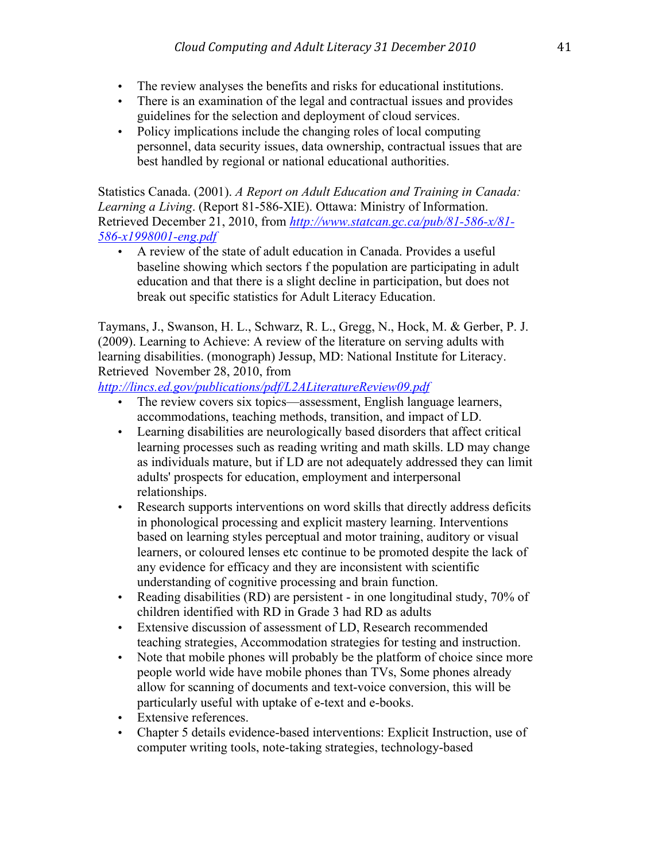- The review analyses the benefits and risks for educational institutions.
- There is an examination of the legal and contractual issues and provides guidelines for the selection and deployment of cloud services.
- Policy implications include the changing roles of local computing personnel, data security issues, data ownership, contractual issues that are best handled by regional or national educational authorities.

Statistics Canada. (2001). *A Report on Adult Education and Training in Canada: Learning a Living*. (Report 81-586-XIE). Ottawa: Ministry of Information. Retrieved December 21, 2010, from *http://www.statcan.gc.ca/pub/81-586-x/81- 586-x1998001-eng.pdf*

• A review of the state of adult education in Canada. Provides a useful baseline showing which sectors f the population are participating in adult education and that there is a slight decline in participation, but does not break out specific statistics for Adult Literacy Education.

Taymans, J., Swanson, H. L., Schwarz, R. L., Gregg, N., Hock, M. & Gerber, P. J. (2009). Learning to Achieve: A review of the literature on serving adults with learning disabilities. (monograph) Jessup, MD: National Institute for Literacy. Retrieved November 28, 2010, from

*http://lincs.ed.gov/publications/pdf/L2ALiteratureReview09.pdf*

- The review covers six topics—assessment, English language learners, accommodations, teaching methods, transition, and impact of LD.
- Learning disabilities are neurologically based disorders that affect critical learning processes such as reading writing and math skills. LD may change as individuals mature, but if LD are not adequately addressed they can limit adults' prospects for education, employment and interpersonal relationships.
- Research supports interventions on word skills that directly address deficits in phonological processing and explicit mastery learning. Interventions based on learning styles perceptual and motor training, auditory or visual learners, or coloured lenses etc continue to be promoted despite the lack of any evidence for efficacy and they are inconsistent with scientific understanding of cognitive processing and brain function.
- Reading disabilities (RD) are persistent in one longitudinal study, 70% of children identified with RD in Grade 3 had RD as adults
- Extensive discussion of assessment of LD, Research recommended teaching strategies, Accommodation strategies for testing and instruction.
- Note that mobile phones will probably be the platform of choice since more people world wide have mobile phones than TVs, Some phones already allow for scanning of documents and text-voice conversion, this will be particularly useful with uptake of e-text and e-books.
- Extensive references.
- Chapter 5 details evidence-based interventions: Explicit Instruction, use of computer writing tools, note-taking strategies, technology-based